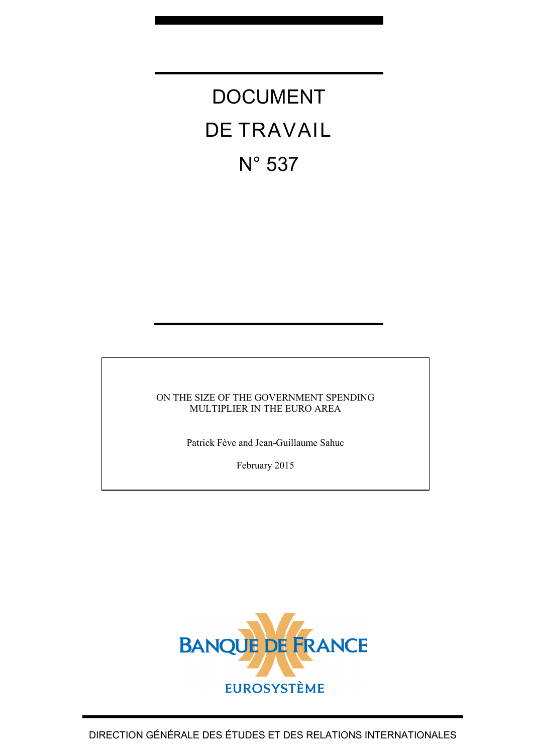DOCUMENT DE TRAVAIL N° 537

ON THE SIZE OF THE GOVERNMENT SPENDING MULTIPLIER IN THE EURO AREA

Patrick Fève and Jean-Guillaume Sahuc

February 2015

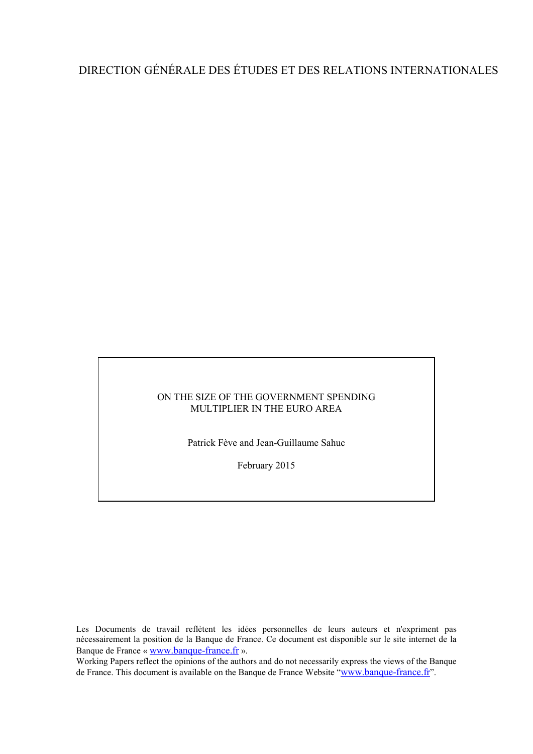# DIRECTION GÉNÉRALE DES ÉTUDES ET DES RELATIONS INTERNATIONALES

## ON THE SIZE OF THE GOVERNMENT SPENDING MULTIPLIER IN THE EURO AREA

Patrick Fève and Jean-Guillaume Sahuc

February 2015

Les Documents de travail reflètent les idées personnelles de leurs auteurs et n'expriment pas nécessairement la position de la Banque de France. Ce document est disponible sur le site internet de la Banque de France « [www.banque-france.fr](http://www.banque-france.fr/) ».

Working Papers reflect the opinions of the authors and do not necessarily express the views of the Banque de France. This document is available on the Banque de France Website ["www.banque-france.fr"](http://www.banque-france.fr/).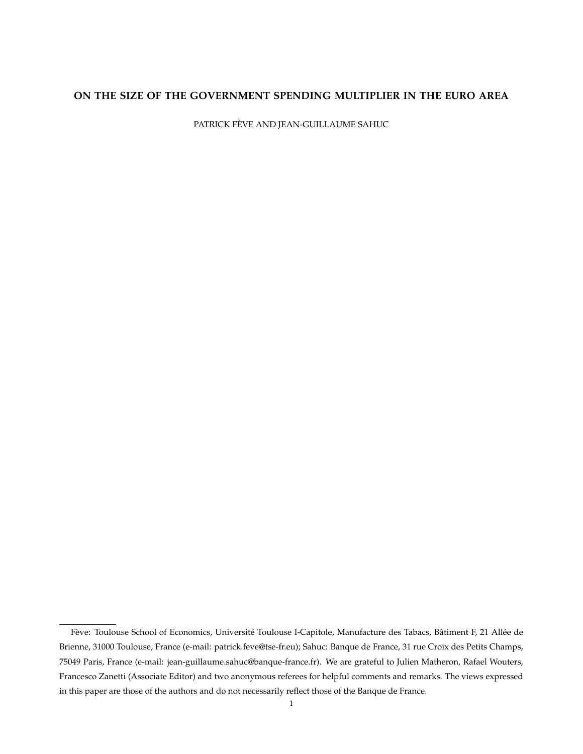## **ON THE SIZE OF THE GOVERNMENT SPENDING MULTIPLIER IN THE EURO AREA**

PATRICK FÈVE AND JEAN-GUILLAUME SAHUC

Fève: Toulouse School of Economics, Université Toulouse I-Capitole, Manufacture des Tabacs, Bâtiment F, 21 Allée de Brienne, 31000 Toulouse, France (e-mail: patrick.feve@tse-fr.eu); Sahuc: Banque de France, 31 rue Croix des Petits Champs, 75049 Paris, France (e-mail: jean-guillaume.sahuc@banque-france.fr). We are grateful to Julien Matheron, Rafael Wouters, Francesco Zanetti (Associate Editor) and two anonymous referees for helpful comments and remarks. The views expressed in this paper are those of the authors and do not necessarily reflect those of the Banque de France.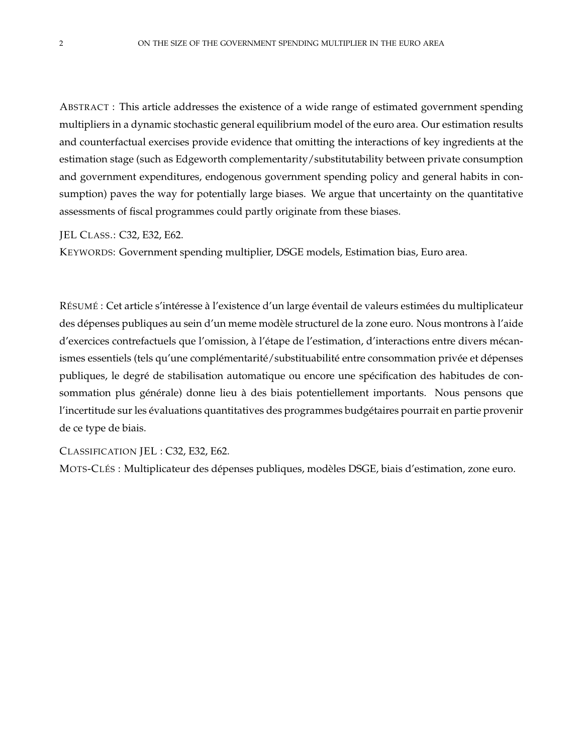ABSTRACT : This article addresses the existence of a wide range of estimated government spending multipliers in a dynamic stochastic general equilibrium model of the euro area. Our estimation results and counterfactual exercises provide evidence that omitting the interactions of key ingredients at the estimation stage (such as Edgeworth complementarity/substitutability between private consumption and government expenditures, endogenous government spending policy and general habits in consumption) paves the way for potentially large biases. We argue that uncertainty on the quantitative assessments of fiscal programmes could partly originate from these biases.

JEL CLASS.: C32, E32, E62.

KEYWORDS: Government spending multiplier, DSGE models, Estimation bias, Euro area.

RÉSUMÉ : Cet article s'intéresse à l'existence d'un large éventail de valeurs estimées du multiplicateur des dépenses publiques au sein d'un meme modèle structurel de la zone euro. Nous montrons à l'aide d'exercices contrefactuels que l'omission, à l'étape de l'estimation, d'interactions entre divers mécanismes essentiels (tels qu'une complémentarité/substituabilité entre consommation privée et dépenses publiques, le degré de stabilisation automatique ou encore une spécification des habitudes de consommation plus générale) donne lieu à des biais potentiellement importants. Nous pensons que l'incertitude sur les évaluations quantitatives des programmes budgétaires pourrait en partie provenir de ce type de biais.

CLASSIFICATION JEL : C32, E32, E62.

MOTS-CLÉS : Multiplicateur des dépenses publiques, modèles DSGE, biais d'estimation, zone euro.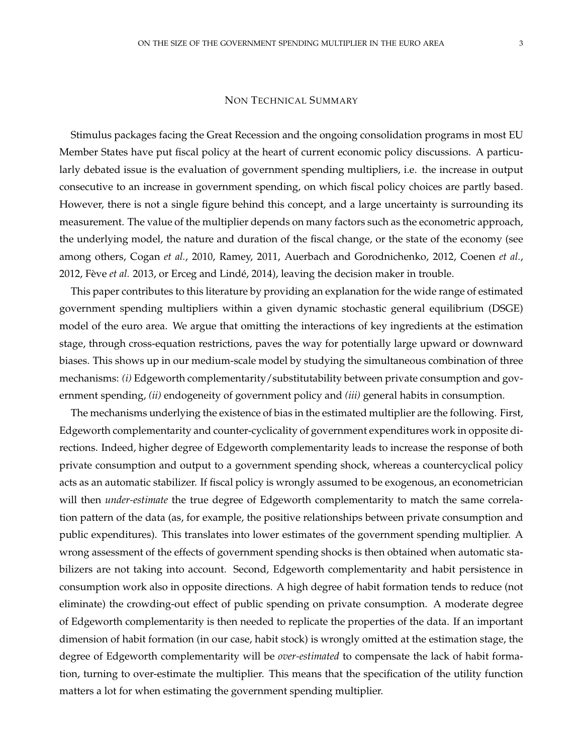#### NON TECHNICAL SUMMARY

Stimulus packages facing the Great Recession and the ongoing consolidation programs in most EU Member States have put fiscal policy at the heart of current economic policy discussions. A particularly debated issue is the evaluation of government spending multipliers, i.e. the increase in output consecutive to an increase in government spending, on which fiscal policy choices are partly based. However, there is not a single figure behind this concept, and a large uncertainty is surrounding its measurement. The value of the multiplier depends on many factors such as the econometric approach, the underlying model, the nature and duration of the fiscal change, or the state of the economy (see among others, Cogan *et al.*, 2010, Ramey, 2011, Auerbach and Gorodnichenko, 2012, Coenen *et al.*, 2012, Fève *et al.* 2013, or Erceg and Lindé, 2014), leaving the decision maker in trouble.

This paper contributes to this literature by providing an explanation for the wide range of estimated government spending multipliers within a given dynamic stochastic general equilibrium (DSGE) model of the euro area. We argue that omitting the interactions of key ingredients at the estimation stage, through cross-equation restrictions, paves the way for potentially large upward or downward biases. This shows up in our medium-scale model by studying the simultaneous combination of three mechanisms: *(i)* Edgeworth complementarity/substitutability between private consumption and government spending, *(ii)* endogeneity of government policy and *(iii)* general habits in consumption.

The mechanisms underlying the existence of bias in the estimated multiplier are the following. First, Edgeworth complementarity and counter-cyclicality of government expenditures work in opposite directions. Indeed, higher degree of Edgeworth complementarity leads to increase the response of both private consumption and output to a government spending shock, whereas a countercyclical policy acts as an automatic stabilizer. If fiscal policy is wrongly assumed to be exogenous, an econometrician will then *under-estimate* the true degree of Edgeworth complementarity to match the same correlation pattern of the data (as, for example, the positive relationships between private consumption and public expenditures). This translates into lower estimates of the government spending multiplier. A wrong assessment of the effects of government spending shocks is then obtained when automatic stabilizers are not taking into account. Second, Edgeworth complementarity and habit persistence in consumption work also in opposite directions. A high degree of habit formation tends to reduce (not eliminate) the crowding-out effect of public spending on private consumption. A moderate degree of Edgeworth complementarity is then needed to replicate the properties of the data. If an important dimension of habit formation (in our case, habit stock) is wrongly omitted at the estimation stage, the degree of Edgeworth complementarity will be *over-estimated* to compensate the lack of habit formation, turning to over-estimate the multiplier. This means that the specification of the utility function matters a lot for when estimating the government spending multiplier.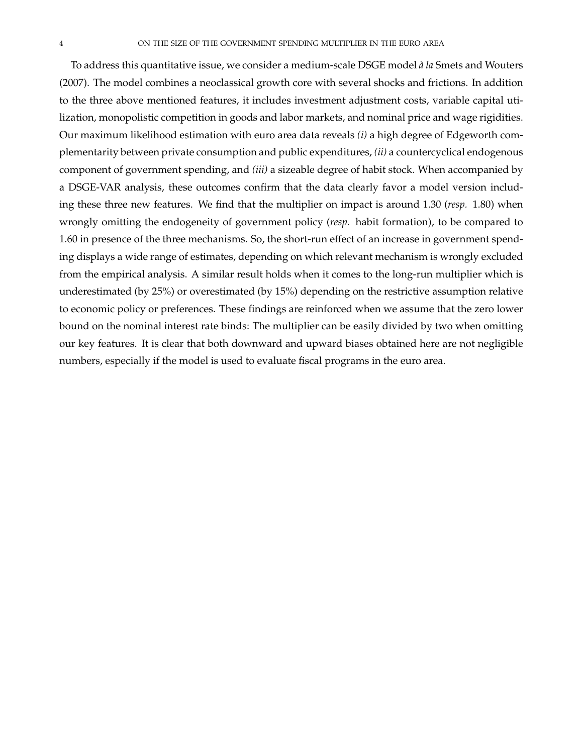To address this quantitative issue, we consider a medium-scale DSGE model *à la* Smets and Wouters (2007). The model combines a neoclassical growth core with several shocks and frictions. In addition to the three above mentioned features, it includes investment adjustment costs, variable capital utilization, monopolistic competition in goods and labor markets, and nominal price and wage rigidities. Our maximum likelihood estimation with euro area data reveals *(i)* a high degree of Edgeworth complementarity between private consumption and public expenditures, *(ii)* a countercyclical endogenous component of government spending, and *(iii)* a sizeable degree of habit stock. When accompanied by a DSGE-VAR analysis, these outcomes confirm that the data clearly favor a model version including these three new features. We find that the multiplier on impact is around 1.30 (*resp.* 1.80) when wrongly omitting the endogeneity of government policy (*resp.* habit formation), to be compared to 1.60 in presence of the three mechanisms. So, the short-run effect of an increase in government spending displays a wide range of estimates, depending on which relevant mechanism is wrongly excluded from the empirical analysis. A similar result holds when it comes to the long-run multiplier which is underestimated (by 25%) or overestimated (by 15%) depending on the restrictive assumption relative to economic policy or preferences. These findings are reinforced when we assume that the zero lower bound on the nominal interest rate binds: The multiplier can be easily divided by two when omitting our key features. It is clear that both downward and upward biases obtained here are not negligible numbers, especially if the model is used to evaluate fiscal programs in the euro area.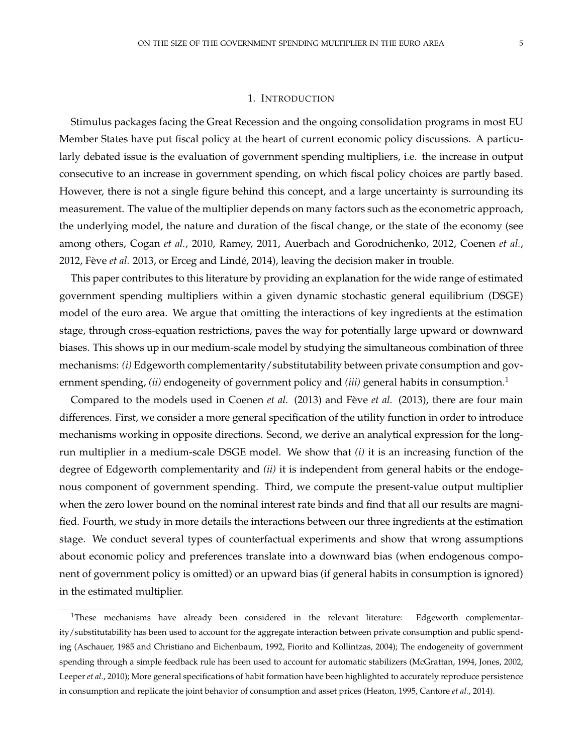Stimulus packages facing the Great Recession and the ongoing consolidation programs in most EU Member States have put fiscal policy at the heart of current economic policy discussions. A particularly debated issue is the evaluation of government spending multipliers, i.e. the increase in output consecutive to an increase in government spending, on which fiscal policy choices are partly based. However, there is not a single figure behind this concept, and a large uncertainty is surrounding its measurement. The value of the multiplier depends on many factors such as the econometric approach, the underlying model, the nature and duration of the fiscal change, or the state of the economy (see among others, Cogan *et al.*, 2010, Ramey, 2011, Auerbach and Gorodnichenko, 2012, Coenen *et al.*, 2012, Fève *et al.* 2013, or Erceg and Lindé, 2014), leaving the decision maker in trouble.

This paper contributes to this literature by providing an explanation for the wide range of estimated government spending multipliers within a given dynamic stochastic general equilibrium (DSGE) model of the euro area. We argue that omitting the interactions of key ingredients at the estimation stage, through cross-equation restrictions, paves the way for potentially large upward or downward biases. This shows up in our medium-scale model by studying the simultaneous combination of three mechanisms: *(i)* Edgeworth complementarity/substitutability between private consumption and government spending, *(ii)* endogeneity of government policy and *(iii)* general habits in consumption.<sup>[1](#page-6-0)</sup>

Compared to the models used in Coenen *et al.* (2013) and Fève *et al.* (2013), there are four main differences. First, we consider a more general specification of the utility function in order to introduce mechanisms working in opposite directions. Second, we derive an analytical expression for the longrun multiplier in a medium-scale DSGE model. We show that *(i)* it is an increasing function of the degree of Edgeworth complementarity and *(ii)* it is independent from general habits or the endogenous component of government spending. Third, we compute the present-value output multiplier when the zero lower bound on the nominal interest rate binds and find that all our results are magnified. Fourth, we study in more details the interactions between our three ingredients at the estimation stage. We conduct several types of counterfactual experiments and show that wrong assumptions about economic policy and preferences translate into a downward bias (when endogenous component of government policy is omitted) or an upward bias (if general habits in consumption is ignored) in the estimated multiplier.

<span id="page-6-0"></span><sup>&</sup>lt;sup>1</sup>These mechanisms have already been considered in the relevant literature: Edgeworth complementarity/substitutability has been used to account for the aggregate interaction between private consumption and public spending (Aschauer, 1985 and Christiano and Eichenbaum, 1992, Fiorito and Kollintzas, 2004); The endogeneity of government spending through a simple feedback rule has been used to account for automatic stabilizers (McGrattan, 1994, Jones, 2002, Leeper *et al.*, 2010); More general specifications of habit formation have been highlighted to accurately reproduce persistence in consumption and replicate the joint behavior of consumption and asset prices (Heaton, 1995, Cantore *et al.*, 2014).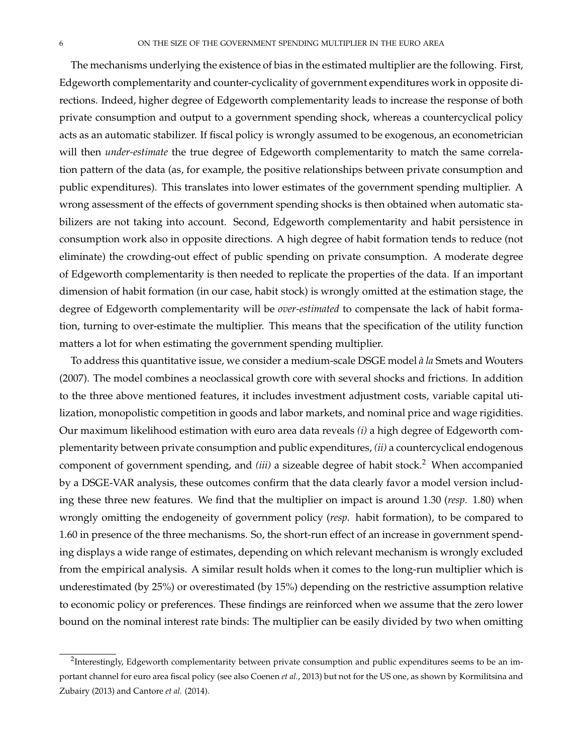The mechanisms underlying the existence of bias in the estimated multiplier are the following. First, Edgeworth complementarity and counter-cyclicality of government expenditures work in opposite directions. Indeed, higher degree of Edgeworth complementarity leads to increase the response of both private consumption and output to a government spending shock, whereas a countercyclical policy acts as an automatic stabilizer. If fiscal policy is wrongly assumed to be exogenous, an econometrician will then *under-estimate* the true degree of Edgeworth complementarity to match the same correlation pattern of the data (as, for example, the positive relationships between private consumption and public expenditures). This translates into lower estimates of the government spending multiplier. A wrong assessment of the effects of government spending shocks is then obtained when automatic stabilizers are not taking into account. Second, Edgeworth complementarity and habit persistence in consumption work also in opposite directions. A high degree of habit formation tends to reduce (not eliminate) the crowding-out effect of public spending on private consumption. A moderate degree of Edgeworth complementarity is then needed to replicate the properties of the data. If an important dimension of habit formation (in our case, habit stock) is wrongly omitted at the estimation stage, the degree of Edgeworth complementarity will be *over-estimated* to compensate the lack of habit formation, turning to over-estimate the multiplier. This means that the specification of the utility function matters a lot for when estimating the government spending multiplier.

To address this quantitative issue, we consider a medium-scale DSGE model *à la* Smets and Wouters (2007). The model combines a neoclassical growth core with several shocks and frictions. In addition to the three above mentioned features, it includes investment adjustment costs, variable capital utilization, monopolistic competition in goods and labor markets, and nominal price and wage rigidities. Our maximum likelihood estimation with euro area data reveals *(i)* a high degree of Edgeworth complementarity between private consumption and public expenditures, *(ii)* a countercyclical endogenous component of government spending, and *(iii)* a sizeable degree of habit stock.<sup>[2](#page-7-0)</sup> When accompanied by a DSGE-VAR analysis, these outcomes confirm that the data clearly favor a model version including these three new features. We find that the multiplier on impact is around 1.30 (*resp.* 1.80) when wrongly omitting the endogeneity of government policy (*resp.* habit formation), to be compared to 1.60 in presence of the three mechanisms. So, the short-run effect of an increase in government spending displays a wide range of estimates, depending on which relevant mechanism is wrongly excluded from the empirical analysis. A similar result holds when it comes to the long-run multiplier which is underestimated (by 25%) or overestimated (by 15%) depending on the restrictive assumption relative to economic policy or preferences. These findings are reinforced when we assume that the zero lower bound on the nominal interest rate binds: The multiplier can be easily divided by two when omitting

<span id="page-7-0"></span> $^{2}$ Interestingly, Edgeworth complementarity between private consumption and public expenditures seems to be an important channel for euro area fiscal policy (see also Coenen *et al.*, 2013) but not for the US one, as shown by Kormilitsina and Zubairy (2013) and Cantore *et al.* (2014).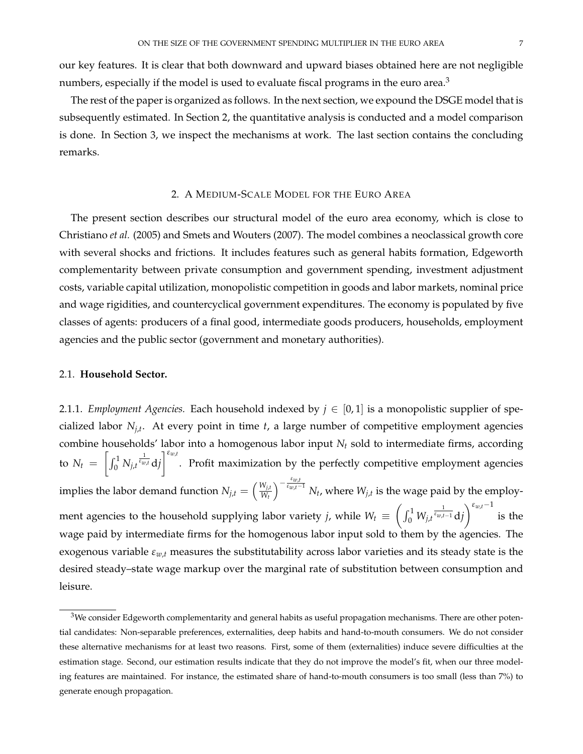our key features. It is clear that both downward and upward biases obtained here are not negligible numbers, especially if the model is used to evaluate fiscal programs in the euro area. $3$ 

The rest of the paper is organized as follows. In the next section, we expound the DSGE model that is subsequently estimated. In Section 2, the quantitative analysis is conducted and a model comparison is done. In Section 3, we inspect the mechanisms at work. The last section contains the concluding remarks.

## 2. A MEDIUM-SCALE MODEL FOR THE EURO AREA

The present section describes our structural model of the euro area economy, which is close to Christiano *et al.* (2005) and Smets and Wouters (2007). The model combines a neoclassical growth core with several shocks and frictions. It includes features such as general habits formation, Edgeworth complementarity between private consumption and government spending, investment adjustment costs, variable capital utilization, monopolistic competition in goods and labor markets, nominal price and wage rigidities, and countercyclical government expenditures. The economy is populated by five classes of agents: producers of a final good, intermediate goods producers, households, employment agencies and the public sector (government and monetary authorities).

#### 2.1. **Household Sector.**

2.1.1. *Employment Agencies.* Each household indexed by  $j \in [0,1]$  is a monopolistic supplier of specialized labor *Nj*,*<sup>t</sup>* . At every point in time *t*, a large number of competitive employment agencies combine households' labor into a homogenous labor input *N<sup>t</sup>* sold to intermediate firms, according to  $N_t = \left[ \int_0^1 N_{j,t} \frac{1}{\varepsilon_{w,t}} d j \right]$ *εw*,*<sup>t</sup>* . Profit maximization by the perfectly competitive employment agencies implies the labor demand function  $N_{j,t} = \left(\frac{W_{j,t}}{W_t}\right)^{j}$ *W<sup>t</sup>*  $\int_{0}^{-\frac{\varepsilon_{w,t}}{\varepsilon_{w,t}-1}} N_{t}$ , where  $W_{j,t}$  is the wage paid by the employment agencies to the household supplying labor variety *j,* while  $W_t \equiv \left(\int_0^1 W_{j,t}^{\frac{1}{\varepsilon_{w,t-1}}} \mathrm{d} j\right)$ *εw*,*t*−<sup>1</sup> is the wage paid by intermediate firms for the homogenous labor input sold to them by the agencies. The exogenous variable *εw*,*<sup>t</sup>* measures the substitutability across labor varieties and its steady state is the desired steady–state wage markup over the marginal rate of substitution between consumption and leisure.

<span id="page-8-0"></span> $3$ We consider Edgeworth complementarity and general habits as useful propagation mechanisms. There are other potential candidates: Non-separable preferences, externalities, deep habits and hand-to-mouth consumers. We do not consider these alternative mechanisms for at least two reasons. First, some of them (externalities) induce severe difficulties at the estimation stage. Second, our estimation results indicate that they do not improve the model's fit, when our three modeling features are maintained. For instance, the estimated share of hand-to-mouth consumers is too small (less than 7%) to generate enough propagation.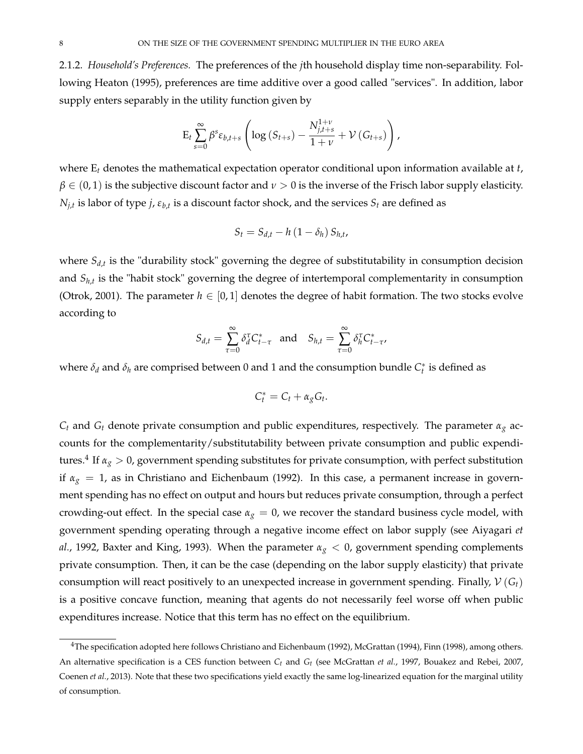2.1.2. *Household's Preferences.* The preferences of the *j*th household display time non-separability. Following Heaton (1995), preferences are time additive over a good called "services". In addition, labor supply enters separably in the utility function given by

$$
\mathrm{E}_{t} \sum_{s=0}^{\infty} \beta^{s} \varepsilon_{b,t+s} \left( \log \left( S_{t+s} \right) - \frac{N_{j,t+s}^{1+\nu}}{1+\nu} + \mathcal{V} \left( G_{t+s} \right) \right),
$$

where E*<sup>t</sup>* denotes the mathematical expectation operator conditional upon information available at *t*,  $\beta \in (0, 1)$  is the subjective discount factor and  $\nu > 0$  is the inverse of the Frisch labor supply elasticity.  $N_{j,t}$  is labor of type  $j$ ,  $\varepsilon_{b,t}$  is a discount factor shock, and the services  $S_t$  are defined as

$$
S_t = S_{d,t} - h\left(1 - \delta_h\right) S_{h,t},
$$

where *Sd*,*<sup>t</sup>* is the "durability stock" governing the degree of substitutability in consumption decision and *Sh*,*<sup>t</sup>* is the "habit stock" governing the degree of intertemporal complementarity in consumption (Otrok, 2001). The parameter  $h \in [0,1]$  denotes the degree of habit formation. The two stocks evolve according to

$$
S_{d,t} = \sum_{\tau=0}^{\infty} \delta_d^{\tau} C_{t-\tau}^*
$$
 and 
$$
S_{h,t} = \sum_{\tau=0}^{\infty} \delta_h^{\tau} C_{t-\tau}^*
$$

where  $\delta_d$  and  $\delta_h$  are comprised between 0 and 1 and the consumption bundle  $C_t^*$  is defined as

$$
C_t^* = C_t + \alpha_g G_t.
$$

*C<sup>t</sup>* and *G<sup>t</sup>* denote private consumption and public expenditures, respectively. The parameter *α<sup>g</sup>* accounts for the complementarity/substitutability between private consumption and public expenditures.[4](#page-9-0) If *α<sup>g</sup>* > 0, government spending substitutes for private consumption, with perfect substitution if  $\alpha_g = 1$ , as in Christiano and Eichenbaum (1992). In this case, a permanent increase in government spending has no effect on output and hours but reduces private consumption, through a perfect crowding-out effect. In the special case  $\alpha_g = 0$ , we recover the standard business cycle model, with government spending operating through a negative income effect on labor supply (see Aiyagari *et al.*, 1992, Baxter and King, 1993). When the parameter *α<sup>g</sup>* < 0, government spending complements private consumption. Then, it can be the case (depending on the labor supply elasticity) that private consumption will react positively to an unexpected increase in government spending. Finally,  $V(G_t)$ is a positive concave function, meaning that agents do not necessarily feel worse off when public expenditures increase. Notice that this term has no effect on the equilibrium.

<span id="page-9-0"></span><sup>4</sup>The specification adopted here follows Christiano and Eichenbaum (1992), McGrattan (1994), Finn (1998), among others. An alternative specification is a CES function between *Ct* and *Gt* (see McGrattan *et al.*, 1997, Bouakez and Rebei, 2007, Coenen *et al.*, 2013). Note that these two specifications yield exactly the same log-linearized equation for the marginal utility of consumption.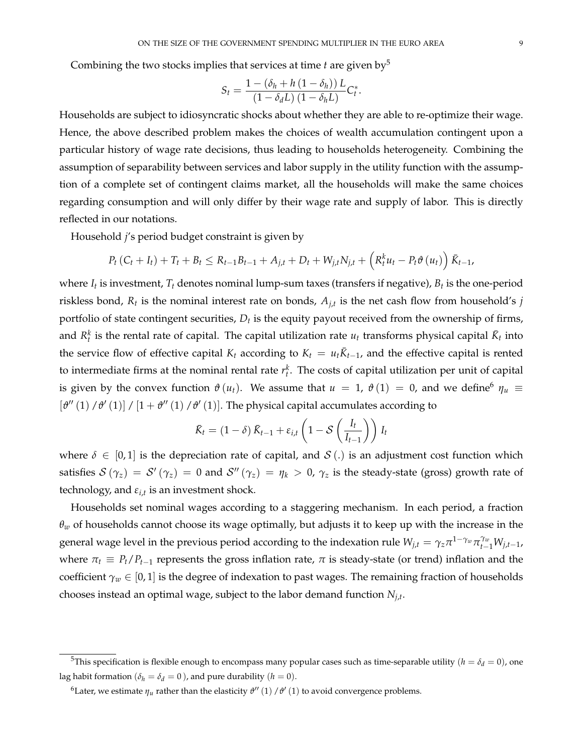Combining the two stocks implies that services at time  $t$  are given by<sup>[5](#page-10-0)</sup>

$$
S_t = \frac{1 - (\delta_h + h(1 - \delta_h))L}{(1 - \delta_d L)(1 - \delta_h L)} C_t^*.
$$

Households are subject to idiosyncratic shocks about whether they are able to re-optimize their wage. Hence, the above described problem makes the choices of wealth accumulation contingent upon a particular history of wage rate decisions, thus leading to households heterogeneity. Combining the assumption of separability between services and labor supply in the utility function with the assumption of a complete set of contingent claims market, all the households will make the same choices regarding consumption and will only differ by their wage rate and supply of labor. This is directly reflected in our notations.

Household *j*'s period budget constraint is given by

$$
P_t (C_t + I_t) + T_t + B_t \leq R_{t-1} B_{t-1} + A_{j,t} + D_t + W_{j,t} N_{j,t} + (R_t^k u_t - P_t \vartheta(u_t)) \bar{K}_{t-1},
$$

where  $I_t$  is investment,  $T_t$  denotes nominal lump-sum taxes (transfers if negative),  $B_t$  is the one-period riskless bond, *R<sup>t</sup>* is the nominal interest rate on bonds, *Aj*,*<sup>t</sup>* is the net cash flow from household's *j* portfolio of state contingent securities, *D<sup>t</sup>* is the equity payout received from the ownership of firms, and  $R_t^k$  is the rental rate of capital. The capital utilization rate  $u_t$  transforms physical capital  $\bar{K}_t$  into the service flow of effective capital  $K_t$  according to  $K_t = u_t \overline{K}_{t-1}$ , and the effective capital is rented to intermediate firms at the nominal rental rate  $r_t^k$ . The costs of capital utilization per unit of capital is given by the convex function  $\vartheta(u_t)$ . We assume that  $u = 1$ ,  $\vartheta(1) = 0$ , and we define<sup>[6](#page-10-1)</sup>  $\eta_u \equiv$  $[\vartheta''(1)/\vartheta'(1)] / [1 + \vartheta''(1)/\vartheta'(1)]$ . The physical capital accumulates according to

$$
\bar{K}_t = (1 - \delta) \bar{K}_{t-1} + \varepsilon_{i,t} \left( 1 - \mathcal{S} \left( \frac{I_t}{I_{t-1}} \right) \right) I_t
$$

where  $\delta \in [0,1]$  is the depreciation rate of capital, and  $S(.)$  is an adjustment cost function which satisfies  $S(\gamma_z) = S'(\gamma_z) = 0$  and  $S''(\gamma_z) = \eta_k > 0$ ,  $\gamma_z$  is the steady-state (gross) growth rate of technology, and *εi*,*<sup>t</sup>* is an investment shock.

Households set nominal wages according to a staggering mechanism. In each period, a fraction *θ<sup>w</sup>* of households cannot choose its wage optimally, but adjusts it to keep up with the increase in the general wage level in the previous period according to the indexation rule  $W_{j,t}=\gamma_z\pi^{1-\gamma_w}\pi_{t-1}^{\gamma_w}W_{j,t-1}$ , where  $\pi_t \equiv P_t/P_{t-1}$  represents the gross inflation rate,  $\pi$  is steady-state (or trend) inflation and the coefficient  $\gamma_w \in [0,1]$  is the degree of indexation to past wages. The remaining fraction of households chooses instead an optimal wage, subject to the labor demand function *Nj*,*<sup>t</sup>* .

<span id="page-10-0"></span><sup>&</sup>lt;sup>5</sup>This specification is flexible enough to encompass many popular cases such as time-separable utility ( $h = \delta_d = 0$ ), one lag habit formation ( $\delta_h = \delta_d = 0$ ), and pure durability ( $h = 0$ ).

<span id="page-10-1"></span><sup>&</sup>lt;sup>6</sup>Later, we estimate  $η_u$  rather than the elasticity  $\vartheta''(1)$  / $\vartheta'(1)$  to avoid convergence problems.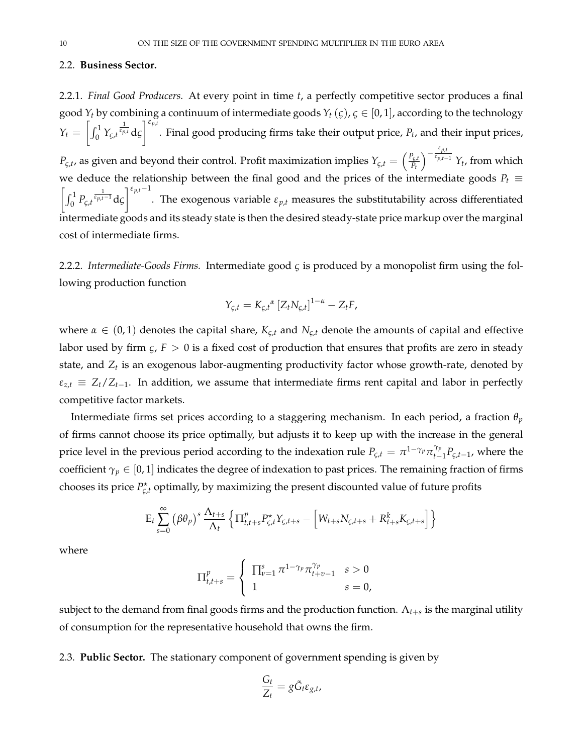#### 2.2. **Business Sector.**

2.2.1. *Final Good Producers.* At every point in time *t*, a perfectly competitive sector produces a final good  $Y_t$  by combining a continuum of intermediate goods  $Y_t$  ( $\varsigma$ ),  $\varsigma \in [0,1]$ , according to the technology  $Y_t = \left[\int_0^1 Y_{\zeta,t} \frac{1}{^{\varepsilon_{p,t}}} \mathrm{d}\zeta\right]$  $\int$ <sup>*ε p*,*t*</sub></sup> . Final good producing firms take their output price, *P<sup>t</sup>* , and their input prices,  $P_{\varsigma,t}$ , as given and beyond their control. Profit maximization implies  $Y_{\varsigma,t} = \left(\frac{P_{\varsigma,t}}{P_t}\right)$ *Pt*  $\sum_{\epsilon_{p,t-1}}$ *<sup>ε</sup> <sup>p</sup>*,*t*−<sup>1</sup> *Y<sup>t</sup>* , from which we deduce the relationship between the final good and the prices of the intermediate goods  $P_t \equiv$  $\int_0^1 P_{\varsigma,t} \frac{1}{e^{p,t-1}} d\varsigma$  $\int$ <sup> $\varepsilon$ </sup><sub>*p*</sub>,*t*−1 . The exogenous variable *ε <sup>p</sup>*,*<sup>t</sup>* measures the substitutability across differentiated intermediate goods and its steady state is then the desired steady-state price markup over the marginal cost of intermediate firms.

2.2.2. *Intermediate-Goods Firms.* Intermediate good *ς* is produced by a monopolist firm using the following production function

$$
Y_{\varsigma,t}=K_{\varsigma,t}{}^{\alpha}\left[Z_{t}N_{\varsigma,t}\right]^{1-\alpha}-Z_{t}F,
$$

where  $\alpha \in (0,1)$  denotes the capital share,  $K_{\varsigma,t}$  and  $N_{\varsigma,t}$  denote the amounts of capital and effective labor used by firm *ς*, *F* > 0 is a fixed cost of production that ensures that profits are zero in steady state, and  $Z_t$  is an exogenous labor-augmenting productivity factor whose growth-rate, denoted by  $\varepsilon_{z,t} \equiv Z_t/Z_{t-1}$ . In addition, we assume that intermediate firms rent capital and labor in perfectly competitive factor markets.

Intermediate firms set prices according to a staggering mechanism. In each period, a fraction *θ<sup>p</sup>* of firms cannot choose its price optimally, but adjusts it to keep up with the increase in the general price level in the previous period according to the indexation rule  $P_{\varsigma,t} = \pi^{1-\gamma_p}\pi_{t-1}^{\gamma_p}$  $t_{t-1}^{p}P_{\varsigma,t-1}$ , where the coefficient  $\gamma_p \in [0,1]$  indicates the degree of indexation to past prices. The remaining fraction of firms chooses its price  $P^{\star}_{\varsigma,t}$  optimally, by maximizing the present discounted value of future profits

$$
\mathrm{E}_{t}\sum_{s=0}^{\infty}(\beta\theta_{p})^{s}\frac{\Lambda_{t+s}}{\Lambda_{t}}\left\{\Pi_{t,t+s}^{p}P_{\varsigma,t}^{\star}Y_{\varsigma,t+s}-\left[W_{t+s}N_{\varsigma,t+s}+R_{t+s}^{k}K_{\varsigma,t+s}\right]\right\}
$$

where

$$
\Pi_{t,t+s}^p = \begin{cases} \ \prod_{\nu=1}^s \pi^{1-\gamma_p} \pi_{t+\nu-1}^{\gamma_p} & s > 0 \\ 1 & s = 0, \end{cases}
$$

subject to the demand from final goods firms and the production function.  $\Lambda_{t+s}$  is the marginal utility of consumption for the representative household that owns the firm.

2.3. **Public Sector.** The stationary component of government spending is given by

$$
\frac{G_t}{Z_t} = g\tilde{G}_t \varepsilon_{g,t},
$$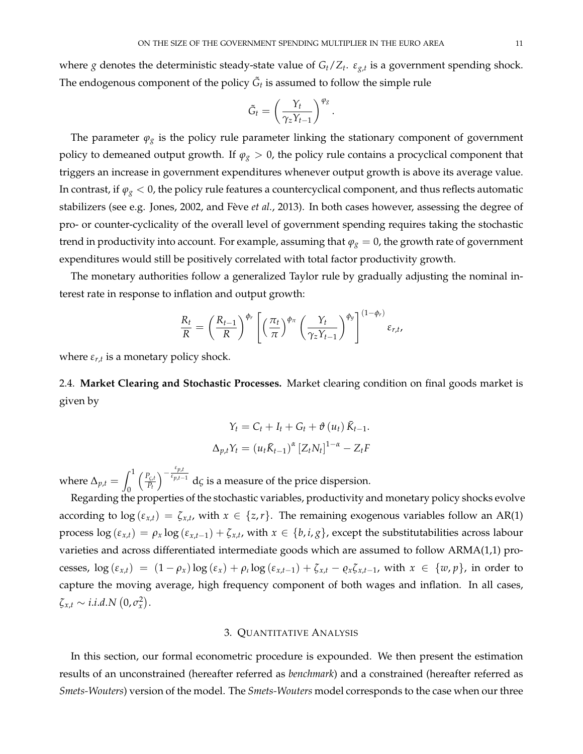where *g* denotes the deterministic steady-state value of *Gt*/*Z<sup>t</sup>* . *εg*,*<sup>t</sup>* is a government spending shock. The endogenous component of the policy  $\tilde{G}_t$  is assumed to follow the simple rule

$$
\tilde{G}_t = \left(\frac{Y_t}{\gamma_z Y_{t-1}}\right)^{\varphi_g}.
$$

The parameter  $\varphi_{\rm g}$  is the policy rule parameter linking the stationary component of government policy to demeaned output growth. If  $\varphi_{g} > 0$ , the policy rule contains a procyclical component that triggers an increase in government expenditures whenever output growth is above its average value. In contrast, if  $\varphi_{g}$  < 0, the policy rule features a countercyclical component, and thus reflects automatic stabilizers (see e.g. Jones, 2002, and Fève *et al.*, 2013). In both cases however, assessing the degree of pro- or counter-cyclicality of the overall level of government spending requires taking the stochastic trend in productivity into account. For example, assuming that  $\varphi_g = 0$ , the growth rate of government expenditures would still be positively correlated with total factor productivity growth.

The monetary authorities follow a generalized Taylor rule by gradually adjusting the nominal interest rate in response to inflation and output growth:

$$
\frac{R_t}{R} = \left(\frac{R_{t-1}}{R}\right)^{\phi_r} \left[ \left(\frac{\pi_t}{\pi}\right)^{\phi_{\pi}} \left(\frac{Y_t}{\gamma_z Y_{t-1}}\right)^{\phi_y} \right]^{(1-\phi_r)} \varepsilon_{r,t},
$$

where *εr*,*<sup>t</sup>* is a monetary policy shock.

2.4. **Market Clearing and Stochastic Processes.** Market clearing condition on final goods market is given by

$$
Y_t = C_t + I_t + G_t + \vartheta (u_t) \bar{K}_{t-1}.
$$

$$
\Delta_{p,t} Y_t = (u_t \bar{K}_{t-1})^{\alpha} [Z_t N_t]^{1-\alpha} - Z_t F
$$

where  $\Delta_{p,t} = \int_{0}^{1}$  $\boldsymbol{0}$  $\int P_{\mathcal{G},t}$ *Pt*  $\frac{\varepsilon_{p,t}}{\varepsilon_{p,t-}}$ *<sup>ε</sup> <sup>p</sup>*,*t*−<sup>1</sup> d*ς* is a measure of the price dispersion.

Regarding the properties of the stochastic variables, productivity and monetary policy shocks evolve according to  $\log(\varepsilon_{x,t}) = \zeta_{x,t}$ , with  $x \in \{z,r\}$ . The remaining exogenous variables follow an AR(1) process  $\log{(\varepsilon_{x,t})} = \rho_x \log{(\varepsilon_{x,t-1})} + \zeta_{x,t}$ , with  $x \in \{b,i,g\}$ , except the substitutabilities across labour varieties and across differentiated intermediate goods which are assumed to follow ARMA(1,1) processes,  $\log(\varepsilon_{x,t}) = (1 - \rho_x) \log(\varepsilon_x) + \rho_t \log(\varepsilon_{x,t-1}) + \zeta_{x,t} - \varrho_x \zeta_{x,t-1}$ , with  $x \in \{w, p\}$ , in order to capture the moving average, high frequency component of both wages and inflation. In all cases,  $\zeta_{x,t} \sim i.i.d.N(0,\sigma_x^2)$ .

## 3. QUANTITATIVE ANALYSIS

In this section, our formal econometric procedure is expounded. We then present the estimation results of an unconstrained (hereafter referred as *benchmark*) and a constrained (hereafter referred as *Smets-Wouters*) version of the model. The *Smets-Wouters* model corresponds to the case when our three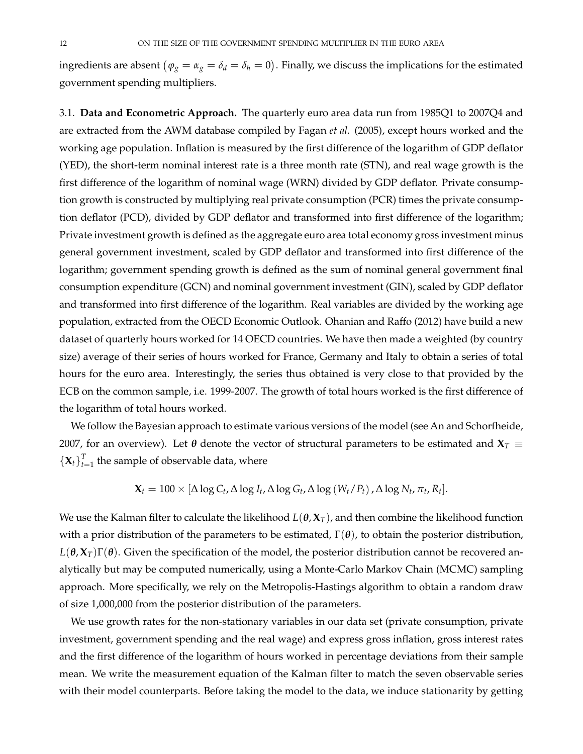ingredients are absent  $(\varphi_g=\alpha_g=\delta_d=\delta_h=0).$  Finally, we discuss the implications for the estimated government spending multipliers.

3.1. **Data and Econometric Approach.** The quarterly euro area data run from 1985Q1 to 2007Q4 and are extracted from the AWM database compiled by Fagan *et al.* (2005), except hours worked and the working age population. Inflation is measured by the first difference of the logarithm of GDP deflator (YED), the short-term nominal interest rate is a three month rate (STN), and real wage growth is the first difference of the logarithm of nominal wage (WRN) divided by GDP deflator. Private consumption growth is constructed by multiplying real private consumption (PCR) times the private consumption deflator (PCD), divided by GDP deflator and transformed into first difference of the logarithm; Private investment growth is defined as the aggregate euro area total economy gross investment minus general government investment, scaled by GDP deflator and transformed into first difference of the logarithm; government spending growth is defined as the sum of nominal general government final consumption expenditure (GCN) and nominal government investment (GIN), scaled by GDP deflator and transformed into first difference of the logarithm. Real variables are divided by the working age population, extracted from the OECD Economic Outlook. Ohanian and Raffo (2012) have build a new dataset of quarterly hours worked for 14 OECD countries. We have then made a weighted (by country size) average of their series of hours worked for France, Germany and Italy to obtain a series of total hours for the euro area. Interestingly, the series thus obtained is very close to that provided by the ECB on the common sample, i.e. 1999-2007. The growth of total hours worked is the first difference of the logarithm of total hours worked.

We follow the Bayesian approach to estimate various versions of the model (see An and Schorfheide, 2007, for an overview). Let  $\theta$  denote the vector of structural parameters to be estimated and  $X_T \equiv$  ${\{\mathbf{X}_t\}}_{t=1}^T$  the sample of observable data, where

$$
\mathbf{X}_{t} = 100 \times [\Delta \log C_{t}, \Delta \log I_{t}, \Delta \log G_{t}, \Delta \log (W_{t}/P_{t}), \Delta \log N_{t}, \pi_{t}, R_{t}].
$$

We use the Kalman filter to calculate the likelihood  $L(\theta, \mathbf{X}_T)$ , and then combine the likelihood function with a prior distribution of the parameters to be estimated, Γ(*θ*), to obtain the posterior distribution,  $L(\theta, \mathbf{X}_T)\Gamma(\theta)$ . Given the specification of the model, the posterior distribution cannot be recovered analytically but may be computed numerically, using a Monte-Carlo Markov Chain (MCMC) sampling approach. More specifically, we rely on the Metropolis-Hastings algorithm to obtain a random draw of size 1,000,000 from the posterior distribution of the parameters.

We use growth rates for the non-stationary variables in our data set (private consumption, private investment, government spending and the real wage) and express gross inflation, gross interest rates and the first difference of the logarithm of hours worked in percentage deviations from their sample mean. We write the measurement equation of the Kalman filter to match the seven observable series with their model counterparts. Before taking the model to the data, we induce stationarity by getting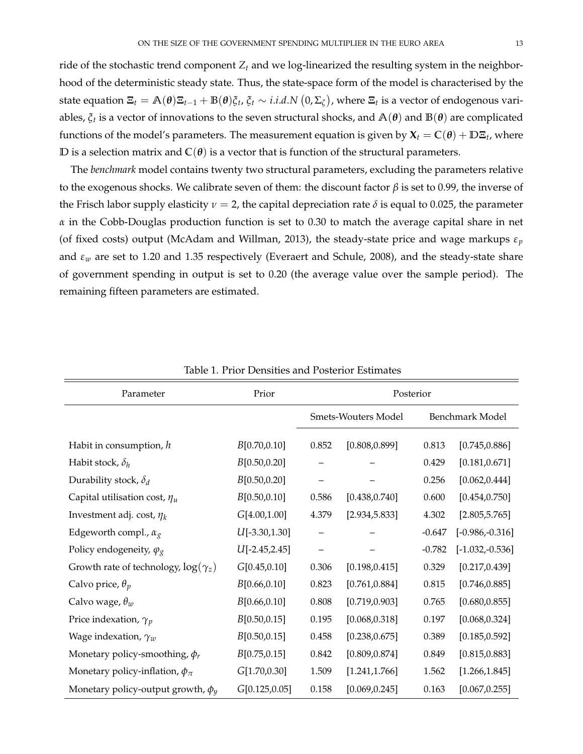ride of the stochastic trend component  $Z_t$  and we log-linearized the resulting system in the neighborhood of the deterministic steady state. Thus, the state-space form of the model is characterised by the state equation  $\Xi_t = \mathbb{A}(\theta)\Xi_{t-1} + \mathbb{B}(\theta)\xi_t$ ,  $\xi_t \sim i.i.d.N$   $(0,\Sigma_\zeta)$ , where  $\Xi_t$  is a vector of endogenous variables, *ξ<sup>t</sup>* is a vector of innovations to the seven structural shocks, and **A**(*θ*) and **B**(*θ*) are complicated functions of the model's parameters. The measurement equation is given by  $\mathbf{X}_t = \mathbb{C}(\bm{\theta}) + \mathbb{D}\Xi_t$ , where **D** is a selection matrix and  $\mathbf{C}(\theta)$  is a vector that is function of the structural parameters.

The *benchmark* model contains twenty two structural parameters, excluding the parameters relative to the exogenous shocks. We calibrate seven of them: the discount factor *β* is set to 0.99, the inverse of the Frisch labor supply elasticity  $\nu = 2$ , the capital depreciation rate  $\delta$  is equal to 0.025, the parameter *α* in the Cobb-Douglas production function is set to 0.30 to match the average capital share in net (of fixed costs) output (McAdam and Willman, 2013), the steady-state price and wage markups  $\varepsilon_p$ and *ε<sup>w</sup>* are set to 1.20 and 1.35 respectively (Everaert and Schule, 2008), and the steady-state share of government spending in output is set to 0.20 (the average value over the sample period). The remaining fifteen parameters are estimated.

| Parameter                                   | Prior            | Posterior                  |                |                 |                   |  |
|---------------------------------------------|------------------|----------------------------|----------------|-----------------|-------------------|--|
|                                             |                  | <b>Smets-Wouters Model</b> |                | Benchmark Model |                   |  |
| Habit in consumption, $h$                   | B[0.70, 0.10]    | 0.852                      | [0.808, 0.899] | 0.813           | [0.745, 0.886]    |  |
| Habit stock, $\delta_h$                     | B[0.50,0.20]     |                            |                | 0.429           | [0.181, 0.671]    |  |
| Durability stock, $\delta_d$                | B[0.50,0.20]     |                            |                | 0.256           | [0.062, 0.444]    |  |
| Capital utilisation cost, $\eta_u$          | B[0.50,0.10]     | 0.586                      | [0.438, 0.740] | 0.600           | [0.454, 0.750]    |  |
| Investment adj. cost, $\eta_k$              | G[4.00, 1.00]    | 4.379                      | [2.934, 5.833] | 4.302           | [2.805, 5.765]    |  |
| Edgeworth compl., $\alpha_{g}$              | $U[-3.30, 1.30]$ |                            |                | $-0.647$        | $[-0.986,-0.316]$ |  |
| Policy endogeneity, $\varphi_{g}$           | $U[-2.45, 2.45]$ |                            |                | $-0.782$        | $[-1.032,-0.536]$ |  |
| Growth rate of technology, $log(\gamma_z)$  | G[0.45, 0.10]    | 0.306                      | [0.198, 0.415] | 0.329           | [0.217, 0.439]    |  |
| Calvo price, $\theta_p$                     | B[0.66, 0.10]    | 0.823                      | [0.761, 0.884] | 0.815           | [0.746, 0.885]    |  |
| Calvo wage, $\theta_w$                      | B[0.66, 0.10]    | 0.808                      | [0.719, 0.903] | 0.765           | [0.680, 0.855]    |  |
| Price indexation, $\gamma_p$                | B[0.50, 0.15]    | 0.195                      | [0.068, 0.318] | 0.197           | [0.068, 0.324]    |  |
| Wage indexation, $\gamma_w$                 | B[0.50, 0.15]    | 0.458                      | [0.238, 0.675] | 0.389           | [0.185, 0.592]    |  |
| Monetary policy-smoothing, $\phi_r$         | B[0.75, 0.15]    | 0.842                      | [0.809, 0.874] | 0.849           | [0.815, 0.883]    |  |
| Monetary policy-inflation, $\phi_{\pi}$     | G[1.70, 0.30]    | 1.509                      | [1.241, 1.766] | 1.562           | [1.266, 1.845]    |  |
| Monetary policy-output growth, $\phi_{\nu}$ | G[0.125, 0.05]   | 0.158                      | [0.069, 0.245] | 0.163           | [0.067, 0.255]    |  |

Table 1. Prior Densities and Posterior Estimates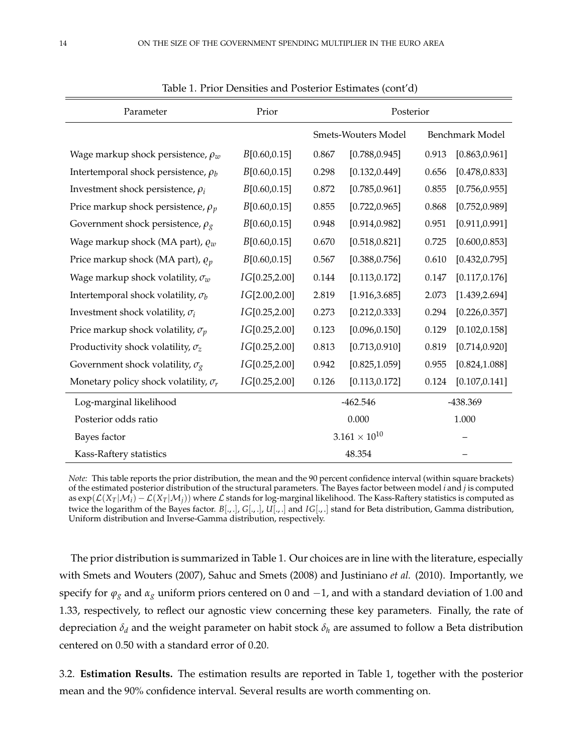| Parameter                                            | Prior         | Posterior              |                |                 |                |  |
|------------------------------------------------------|---------------|------------------------|----------------|-----------------|----------------|--|
|                                                      |               | Smets-Wouters Model    |                | Benchmark Model |                |  |
| Wage markup shock persistence, $\rho_w$              | B[0.60, 0.15] | 0.867                  | [0.788, 0.945] | 0.913           | [0.863, 0.961] |  |
| Intertemporal shock persistence, $\rho_b$            | B[0.60, 0.15] | 0.298                  | [0.132, 0.449] | 0.656           | [0.478, 0.833] |  |
| Investment shock persistence, $\rho_i$               | B[0.60, 0.15] | 0.872                  | [0.785, 0.961] | 0.855           | [0.756, 0.955] |  |
| Price markup shock persistence, $\rho_p$             | B[0.60, 0.15] | 0.855                  | [0.722, 0.965] | 0.868           | [0.752, 0.989] |  |
| Government shock persistence, $\rho_g$               | B[0.60, 0.15] | 0.948                  | [0.914, 0.982] | 0.951           | [0.911, 0.991] |  |
| Wage markup shock (MA part), $\varrho_w$             | B[0.60, 0.15] | 0.670                  | [0.518, 0.821] | 0.725           | [0.600, 0.853] |  |
| Price markup shock (MA part), $\rho_p$               | B[0.60, 0.15] | 0.567                  | [0.388, 0.756] | 0.610           | [0.432, 0.795] |  |
| Wage markup shock volatility, $\sigma_w$             | IG[0.25,2.00] | 0.144                  | [0.113, 0.172] | 0.147           | [0.117, 0.176] |  |
| Intertemporal shock volatility, $\sigma_b$           | IG[2.00,2.00] | 2.819                  | [1.916, 3.685] | 2.073           | [1.439, 2.694] |  |
| Investment shock volatility, $\sigma_i$              | IG[0.25,2.00] | 0.273                  | [0.212, 0.333] | 0.294           | [0.226, 0.357] |  |
| Price markup shock volatility, $\sigma_p$            | IG[0.25,2.00] | 0.123                  | [0.096, 0.150] | 0.129           | [0.102, 0.158] |  |
| Productivity shock volatility, $\sigma$ <sub>z</sub> | IG[0.25,2.00] | 0.813                  | [0.713, 0.910] | 0.819           | [0.714, 0.920] |  |
| Government shock volatility, $\sigma_g$              | IG[0.25,2.00] | 0.942                  | [0.825, 1.059] | 0.955           | [0.824, 1.088] |  |
| Monetary policy shock volatility, $\sigma_r$         | IG[0.25,2.00] | 0.126                  | [0.113, 0.172] | 0.124           | [0.107, 0.141] |  |
| Log-marginal likelihood                              |               | $-462.546$             |                | -438.369        |                |  |
| Posterior odds ratio                                 |               | 0.000                  |                | 1.000           |                |  |
| Bayes factor                                         |               | $3.161 \times 10^{10}$ |                |                 |                |  |
| Kass-Raftery statistics                              |               |                        | 48.354         |                 |                |  |

Table 1. Prior Densities and Posterior Estimates (cont'd)

*Note:* This table reports the prior distribution, the mean and the 90 percent confidence interval (within square brackets) of the estimated posterior distribution of the structural parameters. The Bayes factor between model *i* and *j* is computed as  $\exp(\mathcal{L}(X_T|\mathcal{M}_i)-\mathcal{L}(X_T|\mathcal{M}_j))$  where  $\mathcal L$  stands for log-marginal likelihood. The Kass-Raftery statistics is computed as twice the logarithm of the Bayes factor. *B*[., .], *G*[., .], *U*[., .] and *IG*[., .] stand for Beta distribution, Gamma distribution, Uniform distribution and Inverse-Gamma distribution, respectively.

The prior distribution is summarized in Table 1. Our choices are in line with the literature, especially with Smets and Wouters (2007), Sahuc and Smets (2008) and Justiniano *et al.* (2010). Importantly, we specify for  $\varphi_{\rm g}$  and  $\alpha_{\rm g}$  uniform priors centered on 0 and  $-1$ , and with a standard deviation of 1.00 and 1.33, respectively, to reflect our agnostic view concerning these key parameters. Finally, the rate of depreciation *δ<sup>d</sup>* and the weight parameter on habit stock *δ<sup>h</sup>* are assumed to follow a Beta distribution centered on 0.50 with a standard error of 0.20.

3.2. **Estimation Results.** The estimation results are reported in Table 1, together with the posterior mean and the 90% confidence interval. Several results are worth commenting on.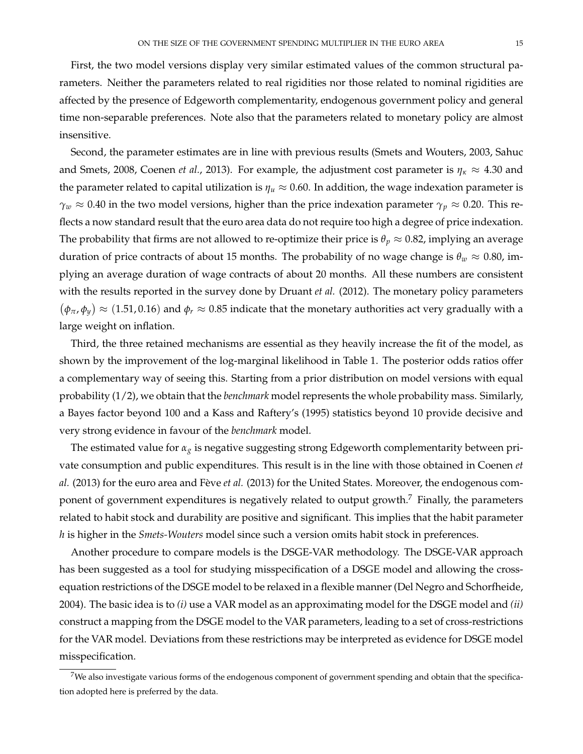First, the two model versions display very similar estimated values of the common structural parameters. Neither the parameters related to real rigidities nor those related to nominal rigidities are affected by the presence of Edgeworth complementarity, endogenous government policy and general time non-separable preferences. Note also that the parameters related to monetary policy are almost insensitive.

Second, the parameter estimates are in line with previous results (Smets and Wouters, 2003, Sahuc and Smets, 2008, Coenen *et al.*, 2013). For example, the adjustment cost parameter is  $\eta_k \approx 4.30$  and the parameter related to capital utilization is  $\eta_u \approx 0.60$ . In addition, the wage indexation parameter is  $\gamma_w \approx 0.40$  in the two model versions, higher than the price indexation parameter  $\gamma_p \approx 0.20$ . This reflects a now standard result that the euro area data do not require too high a degree of price indexation. The probability that firms are not allowed to re-optimize their price is  $\theta_p \approx 0.82$ , implying an average duration of price contracts of about 15 months. The probability of no wage change is  $\theta_w \approx 0.80$ , implying an average duration of wage contracts of about 20 months. All these numbers are consistent with the results reported in the survey done by Druant *et al.* (2012). The monetary policy parameters  $(\phi_{\pi}, \phi_y) \approx (1.51, 0.16)$  and  $\phi_r \approx 0.85$  indicate that the monetary authorities act very gradually with a large weight on inflation.

Third, the three retained mechanisms are essential as they heavily increase the fit of the model, as shown by the improvement of the log-marginal likelihood in Table 1. The posterior odds ratios offer a complementary way of seeing this. Starting from a prior distribution on model versions with equal probability (1/2), we obtain that the *benchmark* model represents the whole probability mass. Similarly, a Bayes factor beyond 100 and a Kass and Raftery's (1995) statistics beyond 10 provide decisive and very strong evidence in favour of the *benchmark* model.

The estimated value for *α<sup>g</sup>* is negative suggesting strong Edgeworth complementarity between private consumption and public expenditures. This result is in the line with those obtained in Coenen *et al.* (2013) for the euro area and Fève *et al.* (2013) for the United States. Moreover, the endogenous com-ponent of government expenditures is negatively related to output growth.<sup>[7](#page-16-0)</sup> Finally, the parameters related to habit stock and durability are positive and significant. This implies that the habit parameter *h* is higher in the *Smets-Wouters* model since such a version omits habit stock in preferences.

Another procedure to compare models is the DSGE-VAR methodology. The DSGE-VAR approach has been suggested as a tool for studying misspecification of a DSGE model and allowing the crossequation restrictions of the DSGE model to be relaxed in a flexible manner (Del Negro and Schorfheide, 2004). The basic idea is to *(i)* use a VAR model as an approximating model for the DSGE model and *(ii)* construct a mapping from the DSGE model to the VAR parameters, leading to a set of cross-restrictions for the VAR model. Deviations from these restrictions may be interpreted as evidence for DSGE model misspecification.

<span id="page-16-0"></span> $7$ We also investigate various forms of the endogenous component of government spending and obtain that the specification adopted here is preferred by the data.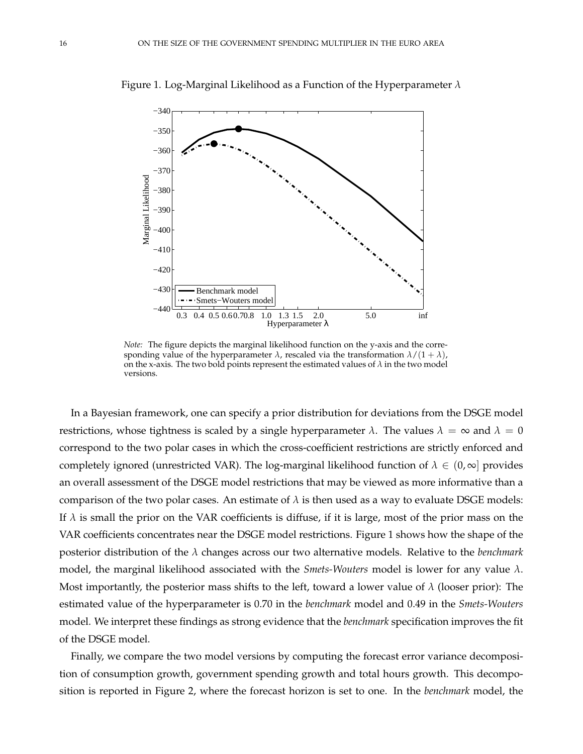

Figure 1. Log-Marginal Likelihood as a Function of the Hyperparameter *λ*

*Note:* The figure depicts the marginal likelihood function on the y-axis and the corresponding value of the hyperparameter  $\lambda$ , rescaled via the transformation  $\lambda/(1 + \lambda)$ , on the x-axis. The two bold points represent the estimated values of  $\lambda$  in the two model versions.

In a Bayesian framework, one can specify a prior distribution for deviations from the DSGE model restrictions, whose tightness is scaled by a single hyperparameter  $\lambda$ . The values  $\lambda = \infty$  and  $\lambda = 0$ correspond to the two polar cases in which the cross-coefficient restrictions are strictly enforced and completely ignored (unrestricted VAR). The log-marginal likelihood function of  $\lambda \in (0,\infty]$  provides an overall assessment of the DSGE model restrictions that may be viewed as more informative than a comparison of the two polar cases. An estimate of  $\lambda$  is then used as a way to evaluate DSGE models: If  $\lambda$  is small the prior on the VAR coefficients is diffuse, if it is large, most of the prior mass on the VAR coefficients concentrates near the DSGE model restrictions. Figure 1 shows how the shape of the posterior distribution of the *λ* changes across our two alternative models. Relative to the *benchmark* model, the marginal likelihood associated with the *Smets-Wouters* model is lower for any value *λ*. Most importantly, the posterior mass shifts to the left, toward a lower value of *λ* (looser prior): The estimated value of the hyperparameter is 0.70 in the *benchmark* model and 0.49 in the *Smets-Wouters* model. We interpret these findings as strong evidence that the *benchmark* specification improves the fit of the DSGE model.

Finally, we compare the two model versions by computing the forecast error variance decomposition of consumption growth, government spending growth and total hours growth. This decomposition is reported in Figure 2, where the forecast horizon is set to one. In the *benchmark* model, the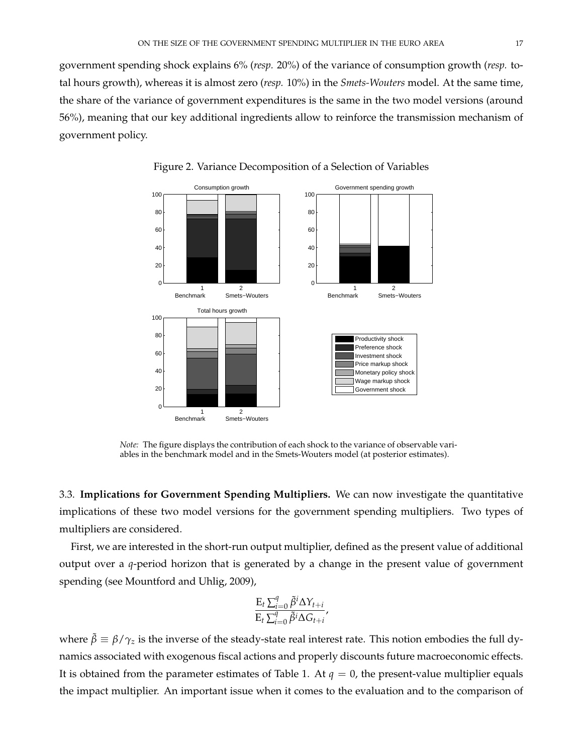government spending shock explains 6% (*resp.* 20%) of the variance of consumption growth (*resp.* total hours growth), whereas it is almost zero (*resp.* 10%) in the *Smets-Wouters* model. At the same time, the share of the variance of government expenditures is the same in the two model versions (around 56%), meaning that our key additional ingredients allow to reinforce the transmission mechanism of government policy.



Figure 2. Variance Decomposition of a Selection of Variables

*Note:* The figure displays the contribution of each shock to the variance of observable variables in the benchmark model and in the Smets-Wouters model (at posterior estimates).

3.3. **Implications for Government Spending Multipliers.** We can now investigate the quantitative implications of these two model versions for the government spending multipliers. Two types of multipliers are considered.

First, we are interested in the short-run output multiplier, defined as the present value of additional output over a *q*-period horizon that is generated by a change in the present value of government spending (see Mountford and Uhlig, 2009),

$$
\frac{\mathrm{E}_{t}\sum_{i=0}^{q}\tilde{\beta}^{i}\Delta Y_{t+i}}{\mathrm{E}_{t}\sum_{i=0}^{q}\tilde{\beta}^{i}\Delta G_{t+i}},
$$

where  $\tilde{\beta} \equiv \beta/\gamma_z$  is the inverse of the steady-state real interest rate. This notion embodies the full dynamics associated with exogenous fiscal actions and properly discounts future macroeconomic effects. It is obtained from the parameter estimates of Table 1. At  $q = 0$ , the present-value multiplier equals the impact multiplier. An important issue when it comes to the evaluation and to the comparison of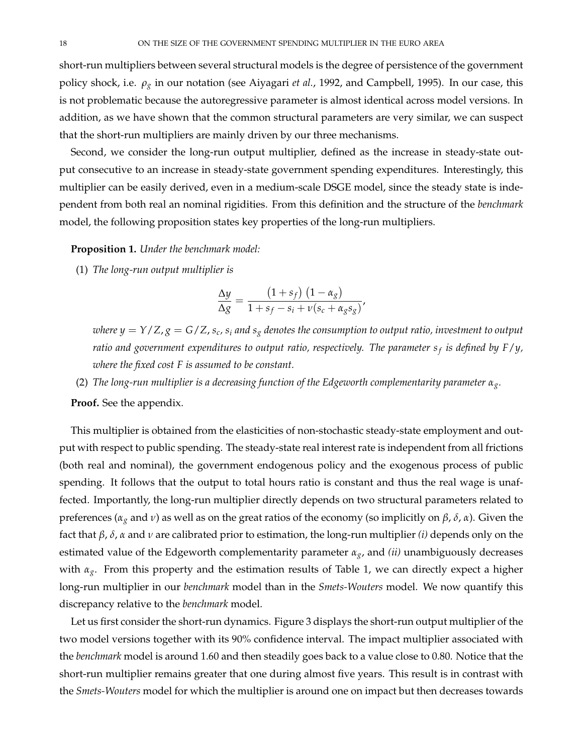short-run multipliers between several structural models is the degree of persistence of the government policy shock, i.e. *ρ<sup>g</sup>* in our notation (see Aiyagari *et al.*, 1992, and Campbell, 1995). In our case, this is not problematic because the autoregressive parameter is almost identical across model versions. In addition, as we have shown that the common structural parameters are very similar, we can suspect that the short-run multipliers are mainly driven by our three mechanisms.

Second, we consider the long-run output multiplier, defined as the increase in steady-state output consecutive to an increase in steady-state government spending expenditures. Interestingly, this multiplier can be easily derived, even in a medium-scale DSGE model, since the steady state is independent from both real an nominal rigidities. From this definition and the structure of the *benchmark* model, the following proposition states key properties of the long-run multipliers.

#### **Proposition 1.** *Under the benchmark model:*

(1) *The long-run output multiplier is*

$$
\frac{\Delta y}{\Delta g} = \frac{\left(1 + s_f\right)\left(1 - \alpha_g\right)}{1 + s_f - s_i + \nu(s_c + \alpha_g s_g)},
$$

 $\omega$ here  $y = Y/Z$ ,  $g = G/Z$ ,  $s_c$ ,  $s_i$  and  $s_g$  denotes the consumption to output ratio, investment to output *ratio and government expenditures to output ratio, respectively. The parameter s<sup>f</sup> is defined by F*/*y, where the fixed cost F is assumed to be constant.*

(2) *The long-run multiplier is a decreasing function of the Edgeworth complementarity parameter αg.*

## **Proof.** See the appendix.

This multiplier is obtained from the elasticities of non-stochastic steady-state employment and output with respect to public spending. The steady-state real interest rate is independent from all frictions (both real and nominal), the government endogenous policy and the exogenous process of public spending. It follows that the output to total hours ratio is constant and thus the real wage is unaffected. Importantly, the long-run multiplier directly depends on two structural parameters related to preferences (*α<sup>g</sup>* and *ν*) as well as on the great ratios of the economy (so implicitly on *β*, *δ*, *α*). Given the fact that *β*, *δ*, *α* and *ν* are calibrated prior to estimation, the long-run multiplier *(i)* depends only on the estimated value of the Edgeworth complementarity parameter *αg*, and *(ii)* unambiguously decreases with *αg*. From this property and the estimation results of Table 1, we can directly expect a higher long-run multiplier in our *benchmark* model than in the *Smets-Wouters* model. We now quantify this discrepancy relative to the *benchmark* model.

Let us first consider the short-run dynamics. Figure 3 displays the short-run output multiplier of the two model versions together with its 90% confidence interval. The impact multiplier associated with the *benchmark* model is around 1.60 and then steadily goes back to a value close to 0.80. Notice that the short-run multiplier remains greater that one during almost five years. This result is in contrast with the *Smets-Wouters* model for which the multiplier is around one on impact but then decreases towards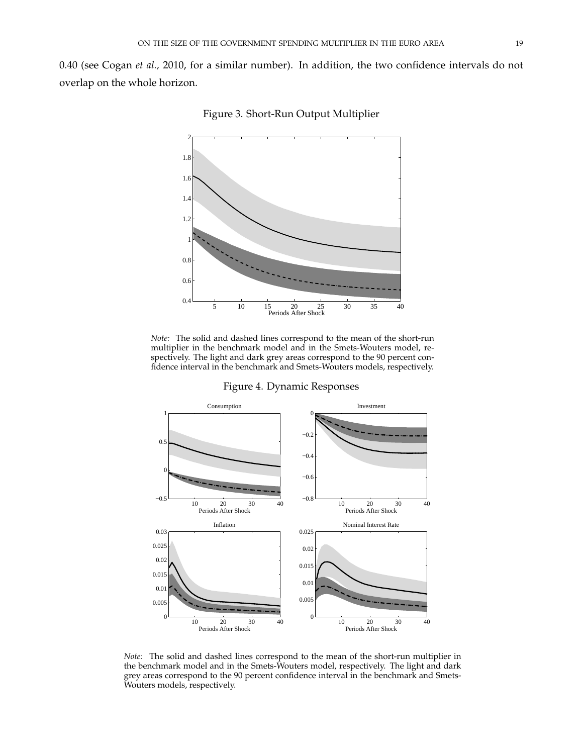0.40 (see Cogan *et al.,* 2010, for a similar number). In addition, the two confidence intervals do not overlap on the whole horizon.



Figure 3. Short-Run Output Multiplier





Figure 4. Dynamic Responses

*Note:* The solid and dashed lines correspond to the mean of the short-run multiplier in the benchmark model and in the Smets-Wouters model, respectively. The light and dark grey areas correspond to the 90 percent confidence interval in the benchmark and Smets-Wouters models, respectively.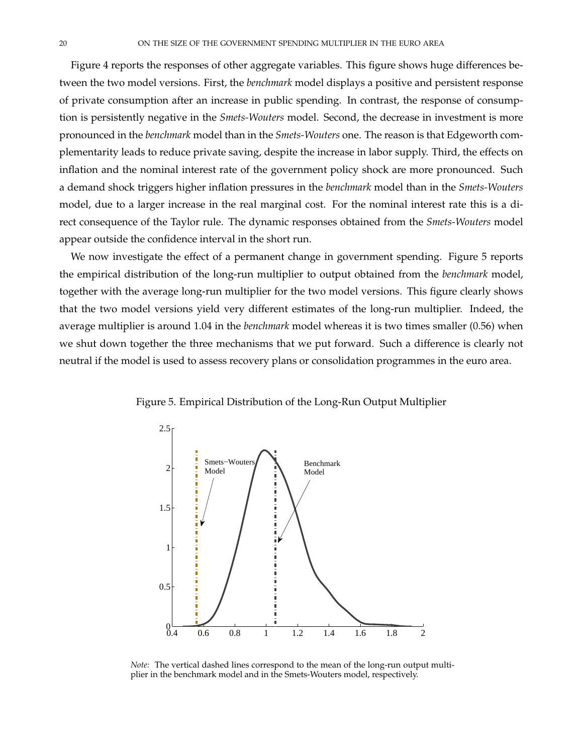Figure 4 reports the responses of other aggregate variables. This figure shows huge differences between the two model versions. First, the *benchmark* model displays a positive and persistent response of private consumption after an increase in public spending. In contrast, the response of consumption is persistently negative in the *Smets-Wouters* model. Second, the decrease in investment is more pronounced in the *benchmark* model than in the *Smets-Wouters* one. The reason is that Edgeworth complementarity leads to reduce private saving, despite the increase in labor supply. Third, the effects on inflation and the nominal interest rate of the government policy shock are more pronounced. Such a demand shock triggers higher inflation pressures in the *benchmark* model than in the *Smets-Wouters* model, due to a larger increase in the real marginal cost. For the nominal interest rate this is a direct consequence of the Taylor rule. The dynamic responses obtained from the *Smets-Wouters* model appear outside the confidence interval in the short run.

We now investigate the effect of a permanent change in government spending. Figure 5 reports the empirical distribution of the long-run multiplier to output obtained from the *benchmark* model, together with the average long-run multiplier for the two model versions. This figure clearly shows that the two model versions yield very different estimates of the long-run multiplier. Indeed, the average multiplier is around 1.04 in the *benchmark* model whereas it is two times smaller (0.56) when we shut down together the three mechanisms that we put forward. Such a difference is clearly not neutral if the model is used to assess recovery plans or consolidation programmes in the euro area.



Figure 5. Empirical Distribution of the Long-Run Output Multiplier

*Note:* The vertical dashed lines correspond to the mean of the long-run output multiplier in the benchmark model and in the Smets-Wouters model, respectively.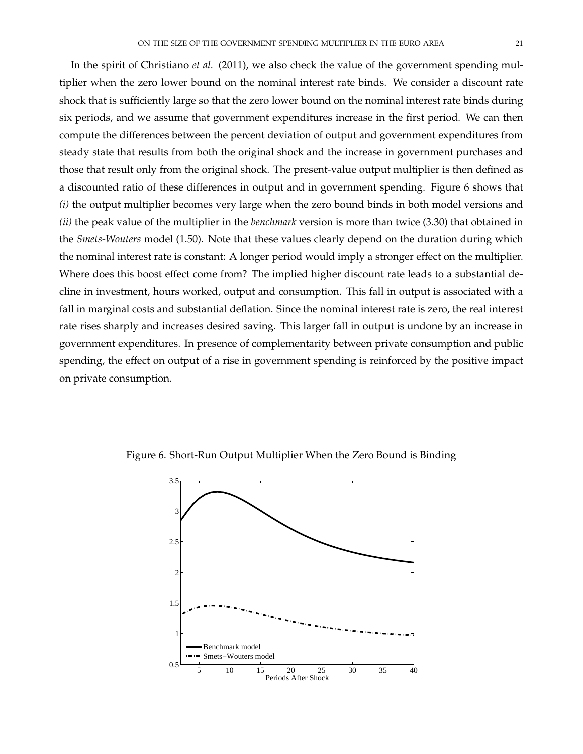In the spirit of Christiano *et al.* (2011), we also check the value of the government spending multiplier when the zero lower bound on the nominal interest rate binds. We consider a discount rate shock that is sufficiently large so that the zero lower bound on the nominal interest rate binds during six periods, and we assume that government expenditures increase in the first period. We can then compute the differences between the percent deviation of output and government expenditures from steady state that results from both the original shock and the increase in government purchases and those that result only from the original shock. The present-value output multiplier is then defined as a discounted ratio of these differences in output and in government spending. Figure 6 shows that *(i)* the output multiplier becomes very large when the zero bound binds in both model versions and *(ii)* the peak value of the multiplier in the *benchmark* version is more than twice (3.30) that obtained in the *Smets-Wouters* model (1.50). Note that these values clearly depend on the duration during which the nominal interest rate is constant: A longer period would imply a stronger effect on the multiplier. Where does this boost effect come from? The implied higher discount rate leads to a substantial decline in investment, hours worked, output and consumption. This fall in output is associated with a fall in marginal costs and substantial deflation. Since the nominal interest rate is zero, the real interest rate rises sharply and increases desired saving. This larger fall in output is undone by an increase in government expenditures. In presence of complementarity between private consumption and public spending, the effect on output of a rise in government spending is reinforced by the positive impact on private consumption.



Figure 6. Short-Run Output Multiplier When the Zero Bound is Binding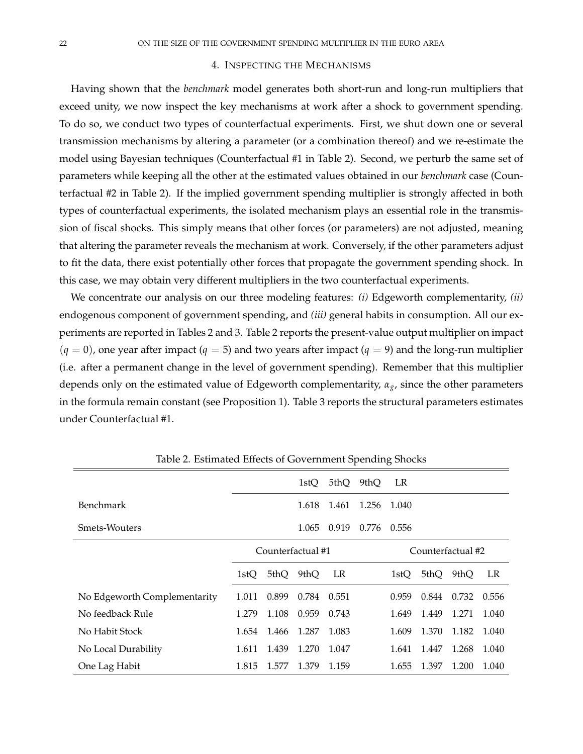#### 4. INSPECTING THE MECHANISMS

Having shown that the *benchmark* model generates both short-run and long-run multipliers that exceed unity, we now inspect the key mechanisms at work after a shock to government spending. To do so, we conduct two types of counterfactual experiments. First, we shut down one or several transmission mechanisms by altering a parameter (or a combination thereof) and we re-estimate the model using Bayesian techniques (Counterfactual #1 in Table 2). Second, we perturb the same set of parameters while keeping all the other at the estimated values obtained in our *benchmark* case (Counterfactual #2 in Table 2). If the implied government spending multiplier is strongly affected in both types of counterfactual experiments, the isolated mechanism plays an essential role in the transmission of fiscal shocks. This simply means that other forces (or parameters) are not adjusted, meaning that altering the parameter reveals the mechanism at work. Conversely, if the other parameters adjust to fit the data, there exist potentially other forces that propagate the government spending shock. In this case, we may obtain very different multipliers in the two counterfactual experiments.

We concentrate our analysis on our three modeling features: *(i)* Edgeworth complementarity, *(ii)* endogenous component of government spending, and *(iii)* general habits in consumption. All our experiments are reported in Tables 2 and 3. Table 2 reports the present-value output multiplier on impact  $(q = 0)$ , one year after impact  $(q = 5)$  and two years after impact  $(q = 9)$  and the long-run multiplier (i.e. after a permanent change in the level of government spending). Remember that this multiplier depends only on the estimated value of Edgeworth complementarity, *αg*, since the other parameters in the formula remain constant (see Proposition 1). Table 3 reports the structural parameters estimates under Counterfactual #1.

|                              |                   |       |       |       | л.                | $\bm{\cup}$ |       |       |       |
|------------------------------|-------------------|-------|-------|-------|-------------------|-------------|-------|-------|-------|
|                              |                   |       | 1stQ  | 5thQ  | 9thQ              | LR          |       |       |       |
| Benchmark                    |                   |       | 1.618 | 1.461 | 1.256             | 1.040       |       |       |       |
| <b>Smets-Wouters</b>         |                   |       | 1.065 | 0.919 | 0.776             | 0.556       |       |       |       |
|                              | Counterfactual #1 |       |       |       | Counterfactual #2 |             |       |       |       |
|                              | 1stQ              | 5thQ  | 9thQ  | LR    |                   | 1stQ        | 5thQ  | 9thQ  | LR    |
| No Edgeworth Complementarity | 1.011             | 0.899 | 0.784 | 0.551 |                   | 0.959       | 0.844 | 0.732 | 0.556 |
| No feedback Rule             | 1.279             | 1.108 | 0.959 | 0.743 |                   | 1.649       | 1.449 | 1.271 | 1.040 |
| No Habit Stock               | 1.654             | 1.466 | 1.287 | 1.083 |                   | 1.609       | 1.370 | 1.182 | 1.040 |
| No Local Durability          | 1.611             | 1.439 | 1.270 | 1.047 |                   | 1.641       | 1.447 | 1.268 | 1.040 |
| One Lag Habit                | 1.815             | 1.577 | 1.379 | 1.159 |                   | 1.655       | 1.397 | 1.200 | 1.040 |

Table 2. Estimated Effects of Government Spending Shocks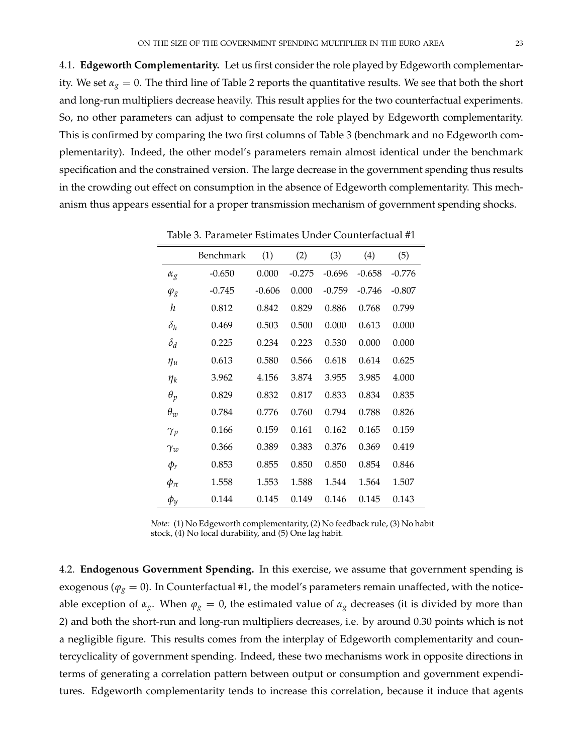4.1. **Edgeworth Complementarity.** Let us first consider the role played by Edgeworth complementarity. We set  $\alpha_g = 0$ . The third line of Table 2 reports the quantitative results. We see that both the short and long-run multipliers decrease heavily. This result applies for the two counterfactual experiments. So, no other parameters can adjust to compensate the role played by Edgeworth complementarity. This is confirmed by comparing the two first columns of Table 3 (benchmark and no Edgeworth complementarity). Indeed, the other model's parameters remain almost identical under the benchmark specification and the constrained version. The large decrease in the government spending thus results in the crowding out effect on consumption in the absence of Edgeworth complementarity. This mechanism thus appears essential for a proper transmission mechanism of government spending shocks.

|               | Benchmark | (1)      | (2)      | (3)      | (4)      | (5)      |
|---------------|-----------|----------|----------|----------|----------|----------|
|               |           |          |          |          |          |          |
| $\alpha_g$    | $-0.650$  | 0.000    | $-0.275$ | $-0.696$ | $-0.658$ | $-0.776$ |
| $\varphi_{g}$ | $-0.745$  | $-0.606$ | 0.000    | $-0.759$ | $-0.746$ | $-0.807$ |
| h             | 0.812     | 0.842    | 0.829    | 0.886    | 0.768    | 0.799    |
| $\delta_h$    | 0.469     | 0.503    | 0.500    | 0.000    | 0.613    | 0.000    |
| $\delta_d$    | 0.225     | 0.234    | 0.223    | 0.530    | 0.000    | 0.000    |
| $\eta_u$      | 0.613     | 0.580    | 0.566    | 0.618    | 0.614    | 0.625    |
| $\eta_k$      | 3.962     | 4.156    | 3.874    | 3.955    | 3.985    | 4.000    |
| $\theta_p$    | 0.829     | 0.832    | 0.817    | 0.833    | 0.834    | 0.835    |
| $\theta_w$    | 0.784     | 0.776    | 0.760    | 0.794    | 0.788    | 0.826    |
| $\gamma_p$    | 0.166     | 0.159    | 0.161    | 0.162    | 0.165    | 0.159    |
| $\gamma_w$    | 0.366     | 0.389    | 0.383    | 0.376    | 0.369    | 0.419    |
| $\phi_r$      | 0.853     | 0.855    | 0.850    | 0.850    | 0.854    | 0.846    |
| $\phi_{\pi}$  | 1.558     | 1.553    | 1.588    | 1.544    | 1.564    | 1.507    |
| $\phi_y$      | 0.144     | 0.145    | 0.149    | 0.146    | 0.145    | 0.143    |

Table 3. Parameter Estimates Under Counterfactual #1

*Note:* (1) No Edgeworth complementarity, (2) No feedback rule, (3) No habit stock, (4) No local durability, and (5) One lag habit.

4.2. **Endogenous Government Spending.** In this exercise, we assume that government spending is exogenous ( $\varphi$ <sup>*g*</sup> = 0). In Counterfactual #1, the model's parameters remain unaffected, with the noticeable exception of  $\alpha_g$ . When  $\varphi_g = 0$ , the estimated value of  $\alpha_g$  decreases (it is divided by more than 2) and both the short-run and long-run multipliers decreases, i.e. by around 0.30 points which is not a negligible figure. This results comes from the interplay of Edgeworth complementarity and countercyclicality of government spending. Indeed, these two mechanisms work in opposite directions in terms of generating a correlation pattern between output or consumption and government expenditures. Edgeworth complementarity tends to increase this correlation, because it induce that agents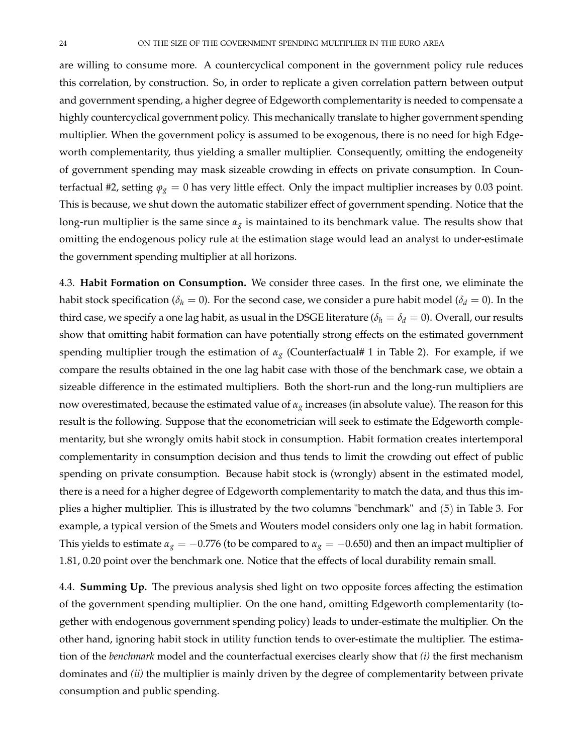are willing to consume more. A countercyclical component in the government policy rule reduces this correlation, by construction. So, in order to replicate a given correlation pattern between output and government spending, a higher degree of Edgeworth complementarity is needed to compensate a highly countercyclical government policy. This mechanically translate to higher government spending multiplier. When the government policy is assumed to be exogenous, there is no need for high Edgeworth complementarity, thus yielding a smaller multiplier. Consequently, omitting the endogeneity of government spending may mask sizeable crowding in effects on private consumption. In Counterfactual #2, setting  $\varphi$ <sup>*g*</sup> = 0 has very little effect. Only the impact multiplier increases by 0.03 point. This is because, we shut down the automatic stabilizer effect of government spending. Notice that the long-run multiplier is the same since *α<sup>g</sup>* is maintained to its benchmark value. The results show that omitting the endogenous policy rule at the estimation stage would lead an analyst to under-estimate the government spending multiplier at all horizons.

4.3. **Habit Formation on Consumption.** We consider three cases. In the first one, we eliminate the habit stock specification ( $\delta_h = 0$ ). For the second case, we consider a pure habit model ( $\delta_d = 0$ ). In the third case, we specify a one lag habit, as usual in the DSGE literature ( $\delta_h = \delta_d = 0$ ). Overall, our results show that omitting habit formation can have potentially strong effects on the estimated government spending multiplier trough the estimation of *α<sup>g</sup>* (Counterfactual# 1 in Table 2). For example, if we compare the results obtained in the one lag habit case with those of the benchmark case, we obtain a sizeable difference in the estimated multipliers. Both the short-run and the long-run multipliers are now overestimated, because the estimated value of *α<sup>g</sup>* increases (in absolute value). The reason for this result is the following. Suppose that the econometrician will seek to estimate the Edgeworth complementarity, but she wrongly omits habit stock in consumption. Habit formation creates intertemporal complementarity in consumption decision and thus tends to limit the crowding out effect of public spending on private consumption. Because habit stock is (wrongly) absent in the estimated model, there is a need for a higher degree of Edgeworth complementarity to match the data, and thus this implies a higher multiplier. This is illustrated by the two columns "benchmark" and (5) in Table 3. For example, a typical version of the Smets and Wouters model considers only one lag in habit formation. This yields to estimate  $\alpha_g = -0.776$  (to be compared to  $\alpha_g = -0.650$ ) and then an impact multiplier of 1.81, 0.20 point over the benchmark one. Notice that the effects of local durability remain small.

4.4. **Summing Up.** The previous analysis shed light on two opposite forces affecting the estimation of the government spending multiplier. On the one hand, omitting Edgeworth complementarity (together with endogenous government spending policy) leads to under-estimate the multiplier. On the other hand, ignoring habit stock in utility function tends to over-estimate the multiplier. The estimation of the *benchmark* model and the counterfactual exercises clearly show that *(i)* the first mechanism dominates and *(ii)* the multiplier is mainly driven by the degree of complementarity between private consumption and public spending.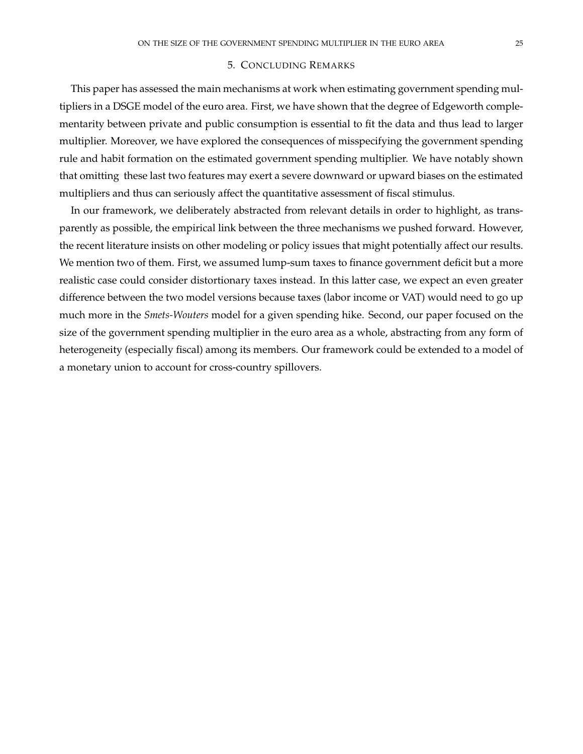### 5. CONCLUDING REMARKS

This paper has assessed the main mechanisms at work when estimating government spending multipliers in a DSGE model of the euro area. First, we have shown that the degree of Edgeworth complementarity between private and public consumption is essential to fit the data and thus lead to larger multiplier. Moreover, we have explored the consequences of misspecifying the government spending rule and habit formation on the estimated government spending multiplier. We have notably shown that omitting these last two features may exert a severe downward or upward biases on the estimated multipliers and thus can seriously affect the quantitative assessment of fiscal stimulus.

In our framework, we deliberately abstracted from relevant details in order to highlight, as transparently as possible, the empirical link between the three mechanisms we pushed forward. However, the recent literature insists on other modeling or policy issues that might potentially affect our results. We mention two of them. First, we assumed lump-sum taxes to finance government deficit but a more realistic case could consider distortionary taxes instead. In this latter case, we expect an even greater difference between the two model versions because taxes (labor income or VAT) would need to go up much more in the *Smets-Wouters* model for a given spending hike. Second, our paper focused on the size of the government spending multiplier in the euro area as a whole, abstracting from any form of heterogeneity (especially fiscal) among its members. Our framework could be extended to a model of a monetary union to account for cross-country spillovers.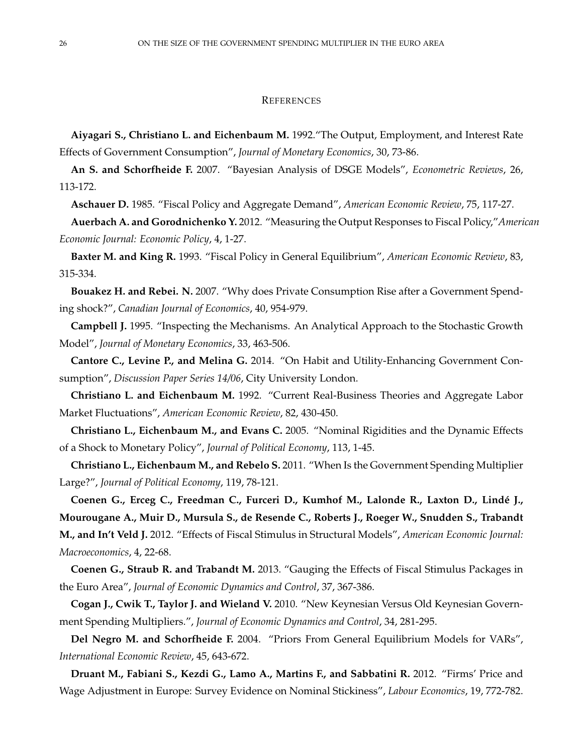#### **REFERENCES**

**Aiyagari S., Christiano L. and Eichenbaum M.** 1992."The Output, Employment, and Interest Rate Effects of Government Consumption", *Journal of Monetary Economics*, 30, 73-86.

**An S. and Schorfheide F.** 2007. "Bayesian Analysis of DSGE Models", *Econometric Reviews*, 26, 113-172.

**Aschauer D.** 1985. "Fiscal Policy and Aggregate Demand", *American Economic Review*, 75, 117-27.

**Auerbach A. and Gorodnichenko Y.** 2012. "Measuring the Output Responses to Fiscal Policy,"*American Economic Journal: Economic Policy*, 4, 1-27.

**Baxter M. and King R.** 1993. "Fiscal Policy in General Equilibrium", *American Economic Review*, 83, 315-334.

**Bouakez H. and Rebei. N.** 2007. "Why does Private Consumption Rise after a Government Spending shock?", *Canadian Journal of Economics*, 40, 954-979.

**Campbell J.** 1995. "Inspecting the Mechanisms. An Analytical Approach to the Stochastic Growth Model", *Journal of Monetary Economics*, 33, 463-506.

**Cantore C., Levine P., and Melina G.** 2014. "On Habit and Utility-Enhancing Government Consumption", *Discussion Paper Series 14/06*, City University London.

**Christiano L. and Eichenbaum M.** 1992. "Current Real-Business Theories and Aggregate Labor Market Fluctuations", *American Economic Review*, 82, 430-450.

**Christiano L., Eichenbaum M., and Evans C.** 2005. "Nominal Rigidities and the Dynamic Effects of a Shock to Monetary Policy", *Journal of Political Economy*, 113, 1-45.

**Christiano L., Eichenbaum M., and Rebelo S.** 2011. "When Is the Government Spending Multiplier Large?", *Journal of Political Economy*, 119, 78-121.

**Coenen G., Erceg C., Freedman C., Furceri D., Kumhof M., Lalonde R., Laxton D., Lindé J., Mourougane A., Muir D., Mursula S., de Resende C., Roberts J., Roeger W., Snudden S., Trabandt M., and In't Veld J.** 2012. "Effects of Fiscal Stimulus in Structural Models", *American Economic Journal: Macroeconomics*, 4, 22-68.

**Coenen G., Straub R. and Trabandt M.** 2013. "Gauging the Effects of Fiscal Stimulus Packages in the Euro Area", *Journal of Economic Dynamics and Control*, 37, 367-386.

**Cogan J., Cwik T., Taylor J. and Wieland V.** 2010. "New Keynesian Versus Old Keynesian Government Spending Multipliers.", *Journal of Economic Dynamics and Control*, 34, 281-295.

**Del Negro M. and Schorfheide F.** 2004. "Priors From General Equilibrium Models for VARs", *International Economic Review*, 45, 643-672.

**Druant M., Fabiani S., Kezdi G., Lamo A., Martins F., and Sabbatini R.** 2012. "Firms' Price and Wage Adjustment in Europe: Survey Evidence on Nominal Stickiness", *Labour Economics*, 19, 772-782.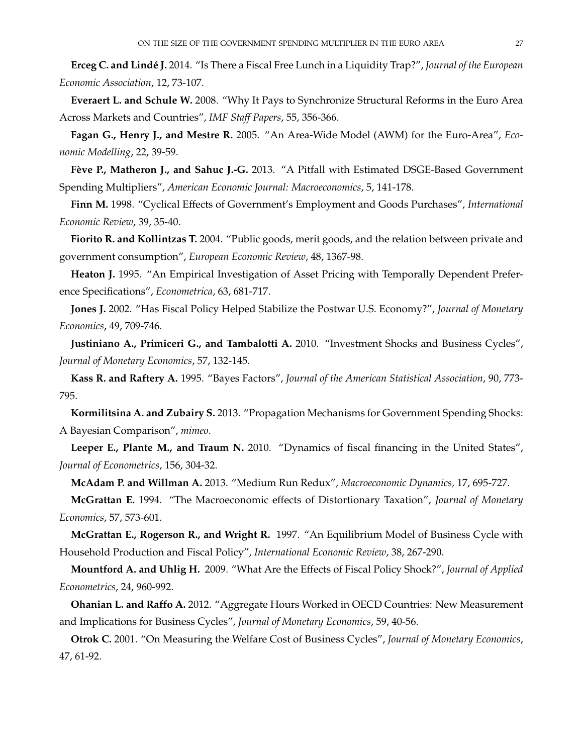**Erceg C. and Lindé J.** 2014. "Is There a Fiscal Free Lunch in a Liquidity Trap?", *Journal of the European Economic Association*, 12, 73-107.

**Everaert L. and Schule W.** 2008. "Why It Pays to Synchronize Structural Reforms in the Euro Area Across Markets and Countries", *IMF Staff Papers*, 55, 356-366.

**Fagan G., Henry J., and Mestre R.** 2005. "An Area-Wide Model (AWM) for the Euro-Area", *Economic Modelling*, 22, 39-59.

**Fève P., Matheron J., and Sahuc J.-G.** 2013. "A Pitfall with Estimated DSGE-Based Government Spending Multipliers", *American Economic Journal: Macroeconomics*, 5, 141-178.

**Finn M.** 1998. "Cyclical Effects of Government's Employment and Goods Purchases", *International Economic Review*, 39, 35-40.

**Fiorito R. and Kollintzas T.** 2004. "Public goods, merit goods, and the relation between private and government consumption", *European Economic Review*, 48, 1367-98.

**Heaton J.** 1995. "An Empirical Investigation of Asset Pricing with Temporally Dependent Preference Specifications", *Econometrica*, 63, 681-717.

**Jones J.** 2002. "Has Fiscal Policy Helped Stabilize the Postwar U.S. Economy?", *Journal of Monetary Economics*, 49, 709-746.

**Justiniano A., Primiceri G., and Tambalotti A.** 2010. "Investment Shocks and Business Cycles", *Journal of Monetary Economics*, 57, 132-145.

**Kass R. and Raftery A.** 1995. "Bayes Factors", *Journal of the American Statistical Association*, 90, 773- 795.

**Kormilitsina A. and Zubairy S.** 2013. "Propagation Mechanisms for Government Spending Shocks: A Bayesian Comparison", *mimeo*.

**Leeper E., Plante M., and Traum N.** 2010. "Dynamics of fiscal financing in the United States", *Journal of Econometrics*, 156, 304-32.

**McAdam P. and Willman A.** 2013. "Medium Run Redux", *Macroeconomic Dynamics,* 17, 695-727.

**McGrattan E.** 1994. "The Macroeconomic effects of Distortionary Taxation", *Journal of Monetary Economics*, 57, 573-601.

**McGrattan E., Rogerson R., and Wright R.** 1997. "An Equilibrium Model of Business Cycle with Household Production and Fiscal Policy", *International Economic Review*, 38, 267-290.

**Mountford A. and Uhlig H.** 2009. "What Are the Effects of Fiscal Policy Shock?", *Journal of Applied Econometrics*, 24, 960-992.

**Ohanian L. and Raffo A.** 2012. "Aggregate Hours Worked in OECD Countries: New Measurement and Implications for Business Cycles", *Journal of Monetary Economics*, 59, 40-56.

**Otrok C.** 2001. "On Measuring the Welfare Cost of Business Cycles", *Journal of Monetary Economics*, 47, 61-92.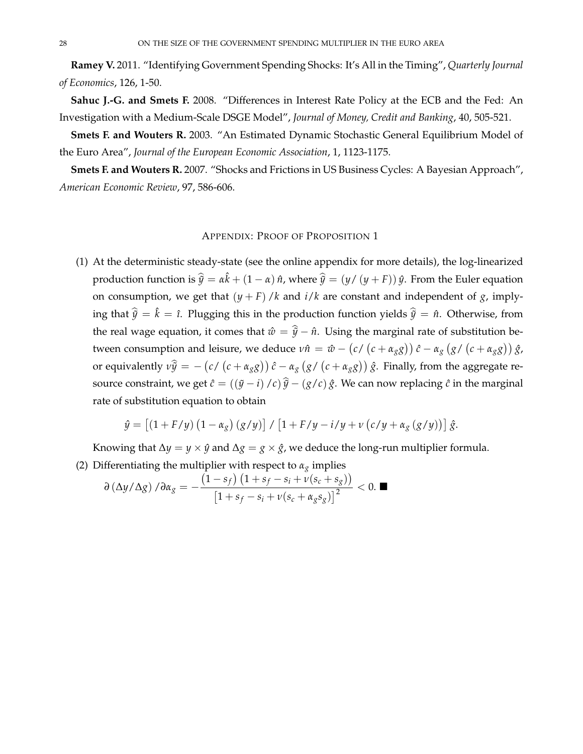**Ramey V.** 2011. "Identifying Government Spending Shocks: It's All in the Timing", *Quarterly Journal of Economics*, 126, 1-50.

**Sahuc J.-G. and Smets F.** 2008. "Differences in Interest Rate Policy at the ECB and the Fed: An Investigation with a Medium-Scale DSGE Model", *Journal of Money, Credit and Banking*, 40, 505-521.

**Smets F. and Wouters R.** 2003. "An Estimated Dynamic Stochastic General Equilibrium Model of the Euro Area", *Journal of the European Economic Association*, 1, 1123-1175.

**Smets F. and Wouters R.** 2007. "Shocks and Frictions in US Business Cycles: A Bayesian Approach", *American Economic Review*, 97, 586-606.

#### APPENDIX: PROOF OF PROPOSITION 1

(1) At the deterministic steady-state (see the online appendix for more details), the log-linearized production function is  $\hat{y} = \alpha \hat{k} + (1 - \alpha) \hat{n}$ , where  $\hat{y} = (y/(y + F)) \hat{y}$ . From the Euler equation on consumption, we get that  $(y + F)$  /*k* and  $i/k$  are constant and independent of *g*, implying that  $\hat{y} = \hat{k} = \hat{i}$ . Plugging this in the production function yields  $\hat{y} = \hat{n}$ . Otherwise, from the real wage equation, it comes that  $\hat{w} = \hat{y} - \hat{n}$ . Using the marginal rate of substitution between consumption and leisure, we deduce  $ν\hat{n} = \hat{w} - (c/(c + \alpha_g g)) \hat{c} - \alpha_g (g/(c + \alpha_g g)) \hat{g}$ , or equivalently  $\nu \widehat{y} = -(\frac{c}{(c + \alpha_g g)}) \widehat{c} - \alpha_g (g/(c + \alpha_g g)) \widehat{g}$ . Finally, from the aggregate resource constraint, we get  $\hat{c} = ((\tilde{y} - i)/c) \hat{y} - (g/c) \hat{g}$ . We can now replacing  $\hat{c}$  in the marginal rate of substitution equation to obtain

$$
\hat{y} = \left[ (1 + F/y) (1 - \alpha_g) (g/y) \right] / \left[ 1 + F/y - i/y + v (c/y + \alpha_g (g/y)) \right] \hat{g}.
$$

Knowing that  $\Delta y = y \times \hat{y}$  and  $\Delta g = g \times \hat{g}$ , we deduce the long-run multiplier formula.

(2) Differentiating the multiplier with respect to  $\alpha_g$  implies

$$
\partial \left(\Delta y/\Delta g\right)/\partial \alpha_g = -\frac{\left(1-s_f\right)\left(1+s_f-s_i+\nu(s_c+s_g)\right)}{\left[1+s_f-s_i+\nu(s_c+\alpha_g s_g)\right]^2} < 0.
$$